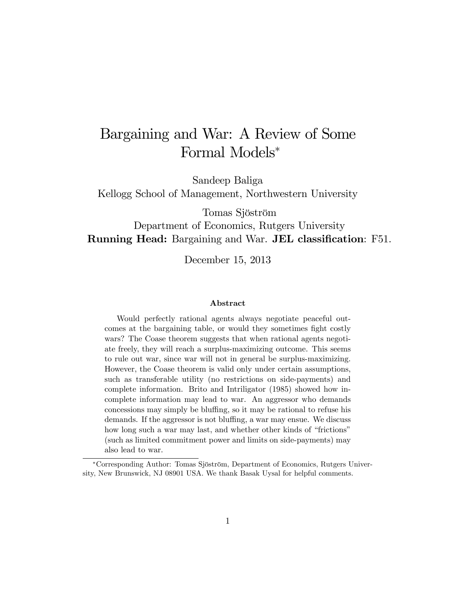# Bargaining and War: A Review of Some Formal Models

Sandeep Baliga

Kellogg School of Management, Northwestern University

Tomas Sjöström

### Department of Economics, Rutgers University Running Head: Bargaining and War. JEL classification: F51.

December 15, 2013

#### Abstract

Would perfectly rational agents always negotiate peaceful outcomes at the bargaining table, or would they sometimes fight costly wars? The Coase theorem suggests that when rational agents negotiate freely, they will reach a surplus-maximizing outcome. This seems to rule out war, since war will not in general be surplus-maximizing. However, the Coase theorem is valid only under certain assumptions, such as transferable utility (no restrictions on side-payments) and complete information. Brito and Intriligator (1985) showed how incomplete information may lead to war. An aggressor who demands concessions may simply be bluffing, so it may be rational to refuse his demands. If the aggressor is not bluffing, a war may ensue. We discuss how long such a war may last, and whether other kinds of "frictions" (such as limited commitment power and limits on side-payments) may also lead to war.

Corresponding Author: Tomas Sjˆstrˆm, Department of Economics, Rutgers University, New Brunswick, NJ 08901 USA. We thank Basak Uysal for helpful comments.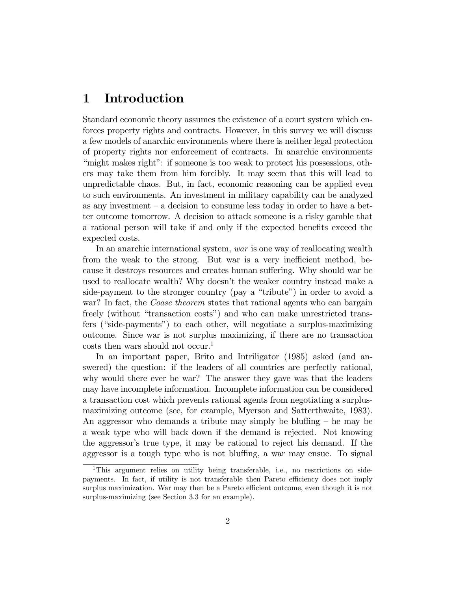### 1 Introduction

Standard economic theory assumes the existence of a court system which enforces property rights and contracts. However, in this survey we will discuss a few models of anarchic environments where there is neither legal protection of property rights nor enforcement of contracts. In anarchic environments "might makes right": if someone is too weak to protect his possessions, others may take them from him forcibly. It may seem that this will lead to unpredictable chaos. But, in fact, economic reasoning can be applied even to such environments. An investment in military capability can be analyzed as any investment  $-$  a decision to consume less today in order to have a better outcome tomorrow. A decision to attack someone is a risky gamble that a rational person will take if and only if the expected benefits exceed the expected costs.

In an anarchic international system, war is one way of reallocating wealth from the weak to the strong. But war is a very inefficient method, because it destroys resources and creates human suffering. Why should war be used to reallocate wealth? Why doesn't the weaker country instead make a side-payment to the stronger country (pay a "tribute") in order to avoid a war? In fact, the *Coase theorem* states that rational agents who can bargain freely (without "transaction costs") and who can make unrestricted transfers ("side-payments") to each other, will negotiate a surplus-maximizing outcome. Since war is not surplus maximizing, if there are no transaction costs then wars should not occur.<sup>1</sup>

In an important paper, Brito and Intriligator (1985) asked (and answered) the question: if the leaders of all countries are perfectly rational, why would there ever be war? The answer they gave was that the leaders may have incomplete information. Incomplete information can be considered a transaction cost which prevents rational agents from negotiating a surplusmaximizing outcome (see, for example, Myerson and Satterthwaite, 1983). An aggressor who demands a tribute may simply be bluffing  $-$  he may be a weak type who will back down if the demand is rejected. Not knowing the aggressor's true type, it may be rational to reject his demand. If the aggressor is a tough type who is not bluffing, a war may ensue. To signal

<sup>1</sup>This argument relies on utility being transferable, i.e., no restrictions on sidepayments. In fact, if utility is not transferable then Pareto efficiency does not imply surplus maximization. War may then be a Pareto efficient outcome, even though it is not surplus-maximizing (see Section 3.3 for an example).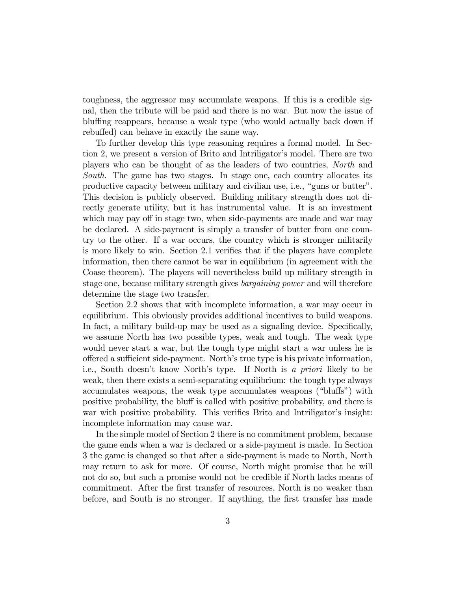toughness, the aggressor may accumulate weapons. If this is a credible signal, then the tribute will be paid and there is no war. But now the issue of bluffing reappears, because a weak type (who would actually back down if rebuffed) can behave in exactly the same way.

To further develop this type reasoning requires a formal model. In Section 2, we present a version of Brito and Intriligator's model. There are two players who can be thought of as the leaders of two countries, North and South. The game has two stages. In stage one, each country allocates its productive capacity between military and civilian use, i.e., "guns or butter". This decision is publicly observed. Building military strength does not directly generate utility, but it has instrumental value. It is an investment which may pay off in stage two, when side-payments are made and war may be declared. A side-payment is simply a transfer of butter from one country to the other. If a war occurs, the country which is stronger militarily is more likely to win. Section 2.1 verifies that if the players have complete information, then there cannot be war in equilibrium (in agreement with the Coase theorem). The players will nevertheless build up military strength in stage one, because military strength gives bargaining power and will therefore determine the stage two transfer.

Section 2.2 shows that with incomplete information, a war may occur in equilibrium. This obviously provides additional incentives to build weapons. In fact, a military build-up may be used as a signaling device. Specifically, we assume North has two possible types, weak and tough. The weak type would never start a war, but the tough type might start a war unless he is o§ered a su¢ cient side-payment. Northís true type is his private information, i.e., South doesn't know North's type. If North is a priori likely to be weak, then there exists a semi-separating equilibrium: the tough type always accumulates weapons, the weak type accumulates weapons ("bluffs") with positive probability, the bluff is called with positive probability, and there is war with positive probability. This verifies Brito and Intriligator's insight: incomplete information may cause war.

In the simple model of Section 2 there is no commitment problem, because the game ends when a war is declared or a side-payment is made. In Section 3 the game is changed so that after a side-payment is made to North, North may return to ask for more. Of course, North might promise that he will not do so, but such a promise would not be credible if North lacks means of commitment. After the first transfer of resources, North is no weaker than before, and South is no stronger. If anything, the Örst transfer has made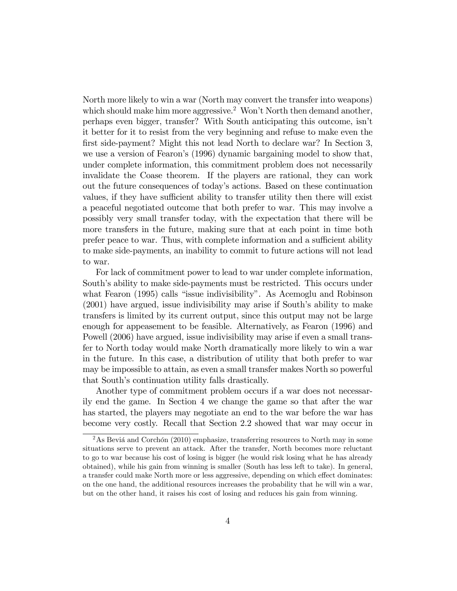North more likely to win a war (North may convert the transfer into weapons) which should make him more aggressive.<sup>2</sup> Won't North then demand another, perhaps even bigger, transfer? With South anticipating this outcome, isnít it better for it to resist from the very beginning and refuse to make even the first side-payment? Might this not lead North to declare war? In Section 3, we use a version of Fearon's (1996) dynamic bargaining model to show that, under complete information, this commitment problem does not necessarily invalidate the Coase theorem. If the players are rational, they can work out the future consequences of todayís actions. Based on these continuation values, if they have sufficient ability to transfer utility then there will exist a peaceful negotiated outcome that both prefer to war. This may involve a possibly very small transfer today, with the expectation that there will be more transfers in the future, making sure that at each point in time both prefer peace to war. Thus, with complete information and a sufficient ability to make side-payments, an inability to commit to future actions will not lead to war.

For lack of commitment power to lead to war under complete information, South's ability to make side-payments must be restricted. This occurs under what Fearon (1995) calls "issue indivisibility". As Acemoglu and Robinson  $(2001)$  have argued, issue indivisibility may arise if South's ability to make transfers is limited by its current output, since this output may not be large enough for appeasement to be feasible. Alternatively, as Fearon (1996) and Powell (2006) have argued, issue indivisibility may arise if even a small transfer to North today would make North dramatically more likely to win a war in the future. In this case, a distribution of utility that both prefer to war may be impossible to attain, as even a small transfer makes North so powerful that South's continuation utility falls drastically.

Another type of commitment problem occurs if a war does not necessarily end the game. In Section 4 we change the game so that after the war has started, the players may negotiate an end to the war before the war has become very costly. Recall that Section 2.2 showed that war may occur in

 $2\text{As Beviá and Corchón (2010) emphasize, transferring resources to North may in some$ situations serve to prevent an attack. After the transfer, North becomes more reluctant to go to war because his cost of losing is bigger (he would risk losing what he has already obtained), while his gain from winning is smaller (South has less left to take). In general, a transfer could make North more or less aggressive, depending on which effect dominates: on the one hand, the additional resources increases the probability that he will win a war, but on the other hand, it raises his cost of losing and reduces his gain from winning.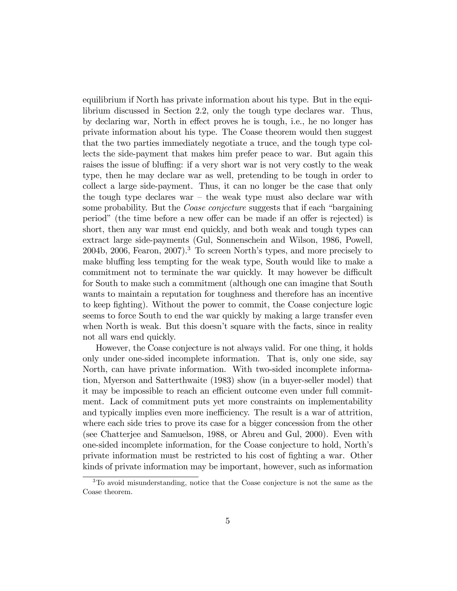equilibrium if North has private information about his type. But in the equilibrium discussed in Section 2.2, only the tough type declares war. Thus, by declaring war, North in effect proves he is tough, i.e., he no longer has private information about his type. The Coase theorem would then suggest that the two parties immediately negotiate a truce, and the tough type collects the side-payment that makes him prefer peace to war. But again this raises the issue of bluffing: if a very short war is not very costly to the weak type, then he may declare war as well, pretending to be tough in order to collect a large side-payment. Thus, it can no longer be the case that only the tough type declares war  $-$  the weak type must also declare war with some probability. But the *Coase conjecture* suggests that if each "bargaining" period" (the time before a new offer can be made if an offer is rejected) is short, then any war must end quickly, and both weak and tough types can extract large side-payments (Gul, Sonnenschein and Wilson, 1986, Powell, 2004b, 2006, Fearon, 2007).<sup>3</sup> To screen North's types, and more precisely to make bluffing less tempting for the weak type, South would like to make a commitment not to terminate the war quickly. It may however be difficult for South to make such a commitment (although one can imagine that South wants to maintain a reputation for toughness and therefore has an incentive to keep Öghting). Without the power to commit, the Coase conjecture logic seems to force South to end the war quickly by making a large transfer even when North is weak. But this doesn't square with the facts, since in reality not all wars end quickly.

However, the Coase conjecture is not always valid. For one thing, it holds only under one-sided incomplete information. That is, only one side, say North, can have private information. With two-sided incomplete information, Myerson and Satterthwaite (1983) show (in a buyer-seller model) that it may be impossible to reach an efficient outcome even under full commitment. Lack of commitment puts yet more constraints on implementability and typically implies even more inefficiency. The result is a war of attrition, where each side tries to prove its case for a bigger concession from the other (see Chatterjee and Samuelson, 1988, or Abreu and Gul, 2000). Even with one-sided incomplete information, for the Coase conjecture to hold, Northís private information must be restricted to his cost of Öghting a war. Other kinds of private information may be important, however, such as information

<sup>3</sup>To avoid misunderstanding, notice that the Coase conjecture is not the same as the Coase theorem.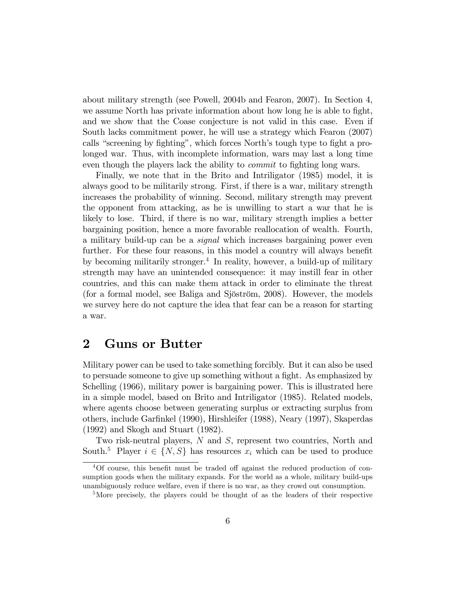about military strength (see Powell, 2004b and Fearon, 2007). In Section 4, we assume North has private information about how long he is able to fight, and we show that the Coase conjecture is not valid in this case. Even if South lacks commitment power, he will use a strategy which Fearon (2007) calls "screening by fighting", which forces North's tough type to fight a prolonged war. Thus, with incomplete information, wars may last a long time even though the players lack the ability to *commit* to fighting long wars.

Finally, we note that in the Brito and Intriligator (1985) model, it is always good to be militarily strong. First, if there is a war, military strength increases the probability of winning. Second, military strength may prevent the opponent from attacking, as he is unwilling to start a war that he is likely to lose. Third, if there is no war, military strength implies a better bargaining position, hence a more favorable reallocation of wealth. Fourth, a military build-up can be a signal which increases bargaining power even further. For these four reasons, in this model a country will always benefit by becoming militarily stronger.<sup>4</sup> In reality, however, a build-up of military strength may have an unintended consequence: it may instill fear in other countries, and this can make them attack in order to eliminate the threat (for a formal model, see Baliga and Sjöström, 2008). However, the models we survey here do not capture the idea that fear can be a reason for starting a war.

### 2 Guns or Butter

Military power can be used to take something forcibly. But it can also be used to persuade someone to give up something without a fight. As emphasized by Schelling (1966), military power is bargaining power. This is illustrated here in a simple model, based on Brito and Intriligator (1985). Related models, where agents choose between generating surplus or extracting surplus from others, include Garfinkel (1990), Hirshleifer (1988), Neary (1997), Skaperdas (1992) and Skogh and Stuart (1982).

Two risk-neutral players, N and S, represent two countries, North and South.<sup>5</sup> Player  $i \in \{N, S\}$  has resources  $x_i$  which can be used to produce

 $4$ Of course, this benefit must be traded off against the reduced production of consumption goods when the military expands. For the world as a whole, military build-ups unambiguously reduce welfare, even if there is no war, as they crowd out consumption.

<sup>&</sup>lt;sup>5</sup>More precisely, the players could be thought of as the leaders of their respective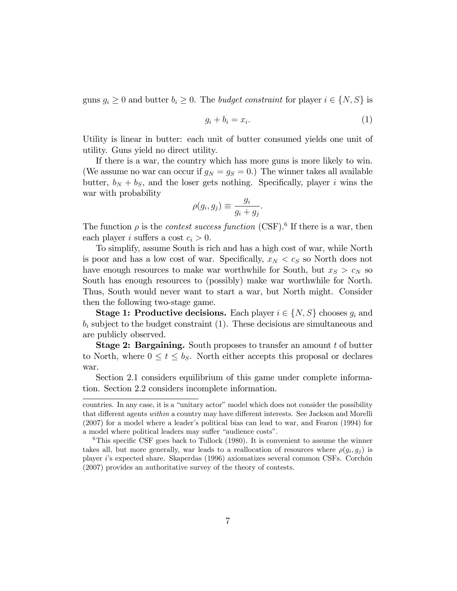guns  $g_i \geq 0$  and butter  $b_i \geq 0$ . The *budget constraint* for player  $i \in \{N, S\}$  is

$$
g_i + b_i = x_i. \tag{1}
$$

Utility is linear in butter: each unit of butter consumed yields one unit of utility. Guns yield no direct utility.

If there is a war, the country which has more guns is more likely to win. (We assume no war can occur if  $g_N = g_S = 0$ .) The winner takes all available butter,  $b_N + b_S$ , and the loser gets nothing. Specifically, player i wins the war with probability

$$
\rho(g_i, g_j) \equiv \frac{g_i}{g_i + g_j}.
$$

The function  $\rho$  is the *contest success function* (CSF).<sup>6</sup> If there is a war, then each player i suffers a cost  $c_i > 0$ .

To simplify, assume South is rich and has a high cost of war, while North is poor and has a low cost of war. Specifically,  $x_N < c_S$  so North does not have enough resources to make war worthwhile for South, but  $x_S > c_N$  so South has enough resources to (possibly) make war worthwhile for North. Thus, South would never want to start a war, but North might. Consider then the following two-stage game.

**Stage 1: Productive decisions.** Each player  $i \in \{N, S\}$  chooses  $g_i$  and  $b_i$  subject to the budget constraint (1). These decisions are simultaneous and are publicly observed.

Stage 2: Bargaining. South proposes to transfer an amount t of butter to North, where  $0 \le t \le b_S$ . North either accepts this proposal or declares war.

Section 2.1 considers equilibrium of this game under complete information. Section 2.2 considers incomplete information.

countries. In any case, it is a "unitary actor" model which does not consider the possibility that different agents within a country may have different interests. See Jackson and Morelli  $(2007)$  for a model where a leader's political bias can lead to war, and Fearon  $(1994)$  for a model where political leaders may suffer "audience costs".

<sup>&</sup>lt;sup>6</sup>This specific CSF goes back to Tullock  $(1980)$ . It is convenient to assume the winner takes all, but more generally, war leads to a reallocation of resources where  $\rho(g_i, g_j)$  is player i's expected share. Skaperdas (1996) axiomatizes several common CSFs. Corchón (2007) provides an authoritative survey of the theory of contests.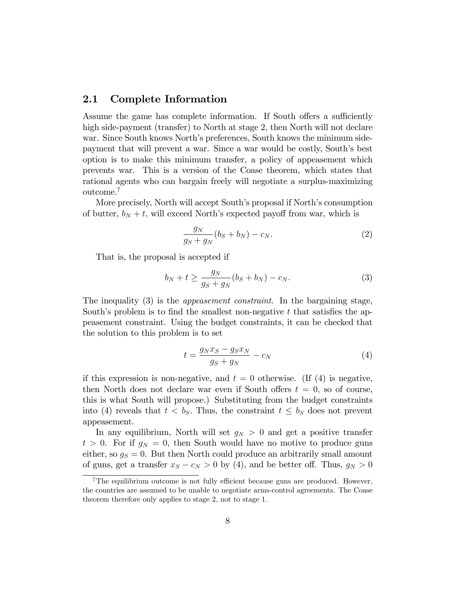#### 2.1 Complete Information

Assume the game has complete information. If South offers a sufficiently high side-payment (transfer) to North at stage 2, then North will not declare war. Since South knows North's preferences, South knows the minimum sidepayment that will prevent a war. Since a war would be costly, South's best option is to make this minimum transfer, a policy of appeasement which prevents war. This is a version of the Coase theorem, which states that rational agents who can bargain freely will negotiate a surplus-maximizing outcome.<sup>7</sup>

More precisely, North will accept South's proposal if North's consumption of butter,  $b_N + t$ , will exceed North's expected payoff from war, which is

$$
\frac{g_N}{g_S + g_N}(b_S + b_N) - c_N.
$$
\n(2)

That is, the proposal is accepted if

$$
b_N + t \ge \frac{g_N}{g_S + g_N} (b_S + b_N) - c_N.
$$
 (3)

The inequality (3) is the *appeasement constraint*. In the bargaining stage, South's problem is to find the smallest non-negative  $t$  that satisfies the appeasement constraint. Using the budget constraints, it can be checked that the solution to this problem is to set

$$
t = \frac{g_N x_S - g_S x_N}{g_S + g_N} - c_N \tag{4}
$$

if this expression is non-negative, and  $t = 0$  otherwise. (If (4) is negative, then North does not declare war even if South offers  $t = 0$ , so of course, this is what South will propose.) Substituting from the budget constraints into (4) reveals that  $t < b_S$ . Thus, the constraint  $t \leq b_S$  does not prevent appeasement.

In any equilibrium, North will set  $g_N > 0$  and get a positive transfer  $t > 0$ . For if  $g_N = 0$ , then South would have no motive to produce guns either, so  $g_S = 0$ . But then North could produce an arbitrarily small amount of guns, get a transfer  $x_S - c_N > 0$  by (4), and be better off. Thus,  $g_N > 0$ 

<sup>&</sup>lt;sup>7</sup>The equilibrium outcome is not fully efficient because guns are produced. However, the countries are assumed to be unable to negotiate arms-control agreements. The Coase theorem therefore only applies to stage 2, not to stage 1.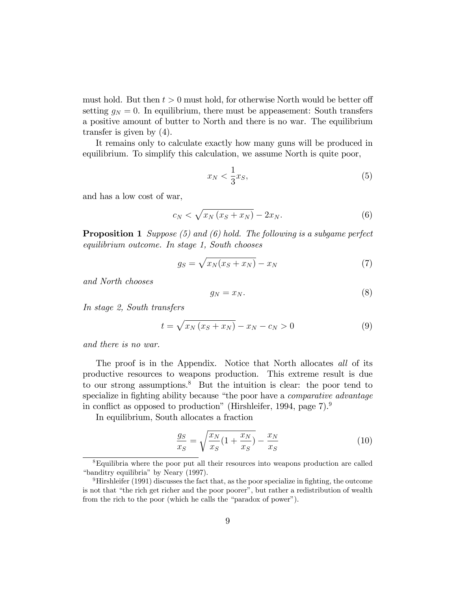must hold. But then  $t > 0$  must hold, for otherwise North would be better off setting  $g_N = 0$ . In equilibrium, there must be appeasement: South transfers a positive amount of butter to North and there is no war. The equilibrium transfer is given by (4).

It remains only to calculate exactly how many guns will be produced in equilibrium. To simplify this calculation, we assume North is quite poor,

$$
x_N < \frac{1}{3}x_S,\tag{5}
$$

and has a low cost of war,

$$
c_N < \sqrt{x_N \left(x_S + x_N\right)} - 2x_N. \tag{6}
$$

**Proposition 1** Suppose  $(5)$  and  $(6)$  hold. The following is a subgame perfect equilibrium outcome. In stage 1, South chooses

$$
g_S = \sqrt{x_N(x_S + x_N)} - x_N \tag{7}
$$

and North chooses

$$
g_N = x_N. \tag{8}
$$

In stage 2, South transfers

$$
t = \sqrt{x_N(x_S + x_N)} - x_N - c_N > 0
$$
\n<sup>(9)</sup>

and there is no war.

The proof is in the Appendix. Notice that North allocates all of its productive resources to weapons production. This extreme result is due to our strong assumptions.<sup>8</sup> But the intuition is clear: the poor tend to specialize in fighting ability because "the poor have a *comparative advantage* in conflict as opposed to production" (Hirshleifer, 1994, page  $7$ ).<sup>9</sup>

In equilibrium, South allocates a fraction

$$
\frac{g_S}{x_S} = \sqrt{\frac{x_N}{x_S} (1 + \frac{x_N}{x_S})} - \frac{x_N}{x_S}
$$
(10)

<sup>8</sup>Equilibria where the poor put all their resources into weapons production are called "banditry equilibria" by Neary (1997).

<sup>&</sup>lt;sup>9</sup>Hirshleifer (1991) discusses the fact that, as the poor specialize in fighting, the outcome is not that "the rich get richer and the poor poorer", but rather a redistribution of wealth from the rich to the poor (which he calls the "paradox of power").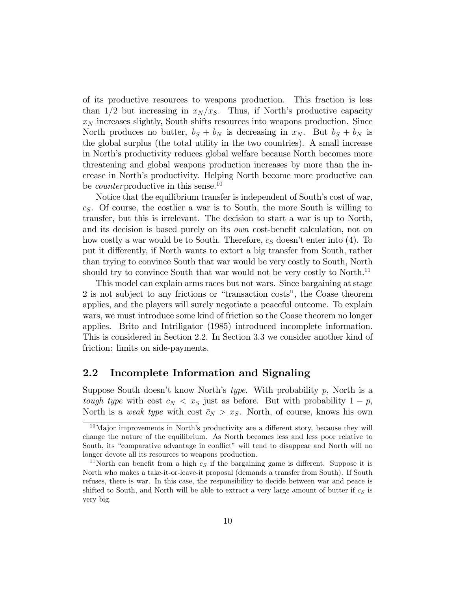of its productive resources to weapons production. This fraction is less than  $1/2$  but increasing in  $x_N / x_S$ . Thus, if North's productive capacity  $x_N$  increases slightly, South shifts resources into weapons production. Since North produces no butter,  $b_S + b_N$  is decreasing in  $x_N$ . But  $b_S + b_N$  is the global surplus (the total utility in the two countries). A small increase in North's productivity reduces global welfare because North becomes more threatening and global weapons production increases by more than the increase in North's productivity. Helping North become more productive can be *counter*productive in this sense.<sup>10</sup>

Notice that the equilibrium transfer is independent of South's cost of war,  $c<sub>S</sub>$ . Of course, the costlier a war is to South, the more South is willing to transfer, but this is irrelevant. The decision to start a war is up to North, and its decision is based purely on its *own* cost-benefit calculation, not on how costly a war would be to South. Therefore,  $c_S$  doesn't enter into (4). To put it differently, if North wants to extort a big transfer from South, rather than trying to convince South that war would be very costly to South, North should try to convince South that war would not be very costly to North.<sup>11</sup>

This model can explain arms races but not wars. Since bargaining at stage 2 is not subject to any frictions or "transaction costs", the Coase theorem applies, and the players will surely negotiate a peaceful outcome. To explain wars, we must introduce some kind of friction so the Coase theorem no longer applies. Brito and Intriligator (1985) introduced incomplete information. This is considered in Section 2.2. In Section 3.3 we consider another kind of friction: limits on side-payments.

#### 2.2 Incomplete Information and Signaling

Suppose South doesn't know North's type. With probability p, North is a tough type with cost  $c_N < x_S$  just as before. But with probability  $1 - p$ , North is a *weak type* with cost  $\bar{c}_N > x_S$ . North, of course, knows his own

 $10$ Major improvements in North's productivity are a different story, because they will change the nature of the equilibrium. As North becomes less and less poor relative to South, its "comparative advantage in conflict" will tend to disappear and North will no longer devote all its resources to weapons production.

<sup>&</sup>lt;sup>11</sup>North can benefit from a high  $c<sub>S</sub>$  if the bargaining game is different. Suppose it is North who makes a take-it-or-leave-it proposal (demands a transfer from South). If South refuses, there is war. In this case, the responsibility to decide between war and peace is shifted to South, and North will be able to extract a very large amount of butter if  $c_S$  is very big.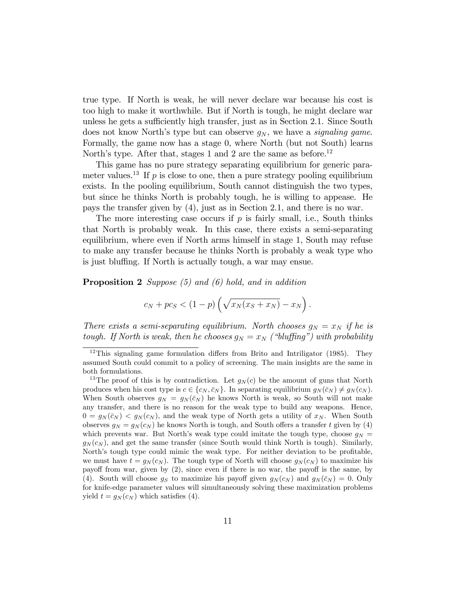true type. If North is weak, he will never declare war because his cost is too high to make it worthwhile. But if North is tough, he might declare war unless he gets a sufficiently high transfer, just as in Section 2.1. Since South does not know North's type but can observe  $g_N$ , we have a *signaling game*. Formally, the game now has a stage 0, where North (but not South) learns North's type. After that, stages 1 and 2 are the same as before.<sup>12</sup>

This game has no pure strategy separating equilibrium for generic parameter values.<sup>13</sup> If p is close to one, then a pure strategy pooling equilibrium exists. In the pooling equilibrium, South cannot distinguish the two types, but since he thinks North is probably tough, he is willing to appease. He pays the transfer given by (4), just as in Section 2.1, and there is no war.

The more interesting case occurs if  $p$  is fairly small, i.e., South thinks that North is probably weak. In this case, there exists a semi-separating equilibrium, where even if North arms himself in stage 1, South may refuse to make any transfer because he thinks North is probably a weak type who is just bluffing. If North is actually tough, a war may ensue.

**Proposition 2** Suppose  $(5)$  and  $(6)$  hold, and in addition

$$
c_N + pc_S < (1 - p) \left( \sqrt{x_N(x_S + x_N)} - x_N \right).
$$

There exists a semi-separating equilibrium. North chooses  $g_N = x_N$  if he is tough. If North is weak, then he chooses  $g_N = x_N$  ("bluffing") with probability

 $12$ This signaling game formulation differs from Brito and Intriligator (1985). They assumed South could commit to a policy of screening. The main insights are the same in both formulations.

<sup>&</sup>lt;sup>13</sup>The proof of this is by contradiction. Let  $g_N(c)$  be the amount of guns that North produces when his cost type is  $c \in \{c_N, \bar{c}_N\}$ . In separating equilibrium  $g_N(\bar{c}_N) \neq g_N(c_N)$ . When South observes  $g_N = g_N(\bar{c}_N)$  he knows North is weak, so South will not make any transfer, and there is no reason for the weak type to build any weapons. Hence,  $0 = g_N(\bar{c}_N) < g_N(c_N)$ , and the weak type of North gets a utility of  $x_N$ . When South observes  $g_N = g_N(c_N)$  he knows North is tough, and South offers a transfer t given by (4) which prevents war. But North's weak type could imitate the tough type, choose  $g_N =$  $g_N(c_N)$ , and get the same transfer (since South would think North is tough). Similarly, North's tough type could mimic the weak type. For neither deviation to be profitable, we must have  $t = q_N(c_N)$ . The tough type of North will choose  $q_N(c_N)$  to maximize his payoff from war, given by  $(2)$ , since even if there is no war, the payoff is the same, by (4). South will choose  $g_S$  to maximize his payoff given  $g_N(c_N)$  and  $g_N(\bar{c}_N) = 0$ . Only for knife-edge parameter values will simultaneously solving these maximization problems yield  $t = g_N(c_N)$  which satisfies (4).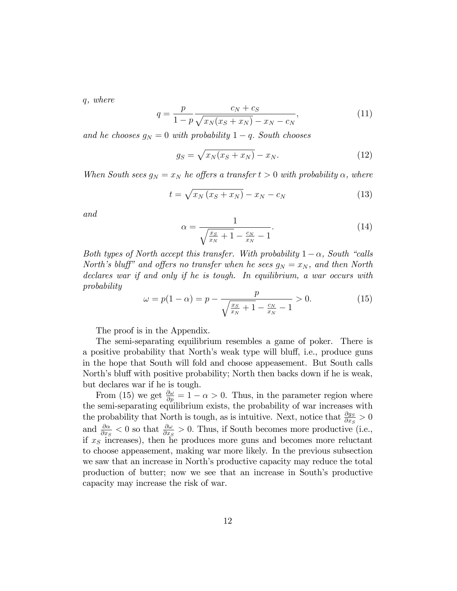q, where

$$
q = \frac{p}{1 - p} \frac{c_N + c_S}{\sqrt{x_N(x_S + x_N)} - x_N - c_N},
$$
\n(11)

and he chooses  $g_N = 0$  with probability  $1 - q$ . South chooses

$$
g_S = \sqrt{x_N(x_S + x_N)} - x_N. \tag{12}
$$

When South sees  $g_N = x_N$  he offers a transfer  $t > 0$  with probability  $\alpha$ , where

$$
t = \sqrt{x_N \left(x_S + x_N\right)} - x_N - c_N \tag{13}
$$

and

$$
\alpha = \frac{1}{\sqrt{\frac{x_S}{x_N} + 1} - \frac{c_N}{x_N} - 1}.
$$
\n(14)

Both types of North accept this transfer. With probability  $1 - \alpha$ , South "calls" North's bluff" and offers no transfer when he sees  $g_N = x_N$ , and then North declares war if and only if he is tough. In equilibrium, a war occurs with probability

$$
\omega = p(1 - \alpha) = p - \frac{p}{\sqrt{\frac{x_S}{x_N} + 1} - \frac{c_N}{x_N} - 1} > 0.
$$
 (15)

The proof is in the Appendix.

The semi-separating equilibrium resembles a game of poker. There is a positive probability that North's weak type will bluff, i.e., produce guns in the hope that South will fold and choose appeasement. But South calls North's bluff with positive probability; North then backs down if he is weak, but declares war if he is tough.

From (15) we get  $\frac{\partial \omega}{\partial p} = 1 - \alpha > 0$ . Thus, in the parameter region where the semi-separating equilibrium exists, the probability of war increases with the probability that North is tough, as is intuitive. Next, notice that  $\frac{\partial g_S}{\partial x_S} > 0$ and  $\frac{\partial \alpha}{\partial x_S} < 0$  so that  $\frac{\partial \omega}{\partial x_S} > 0$ . Thus, if South becomes more productive (i.e., if  $x<sub>S</sub>$  increases), then he produces more guns and becomes more reluctant to choose appeasement, making war more likely. In the previous subsection we saw that an increase in North's productive capacity may reduce the total production of butter; now we see that an increase in South's productive capacity may increase the risk of war.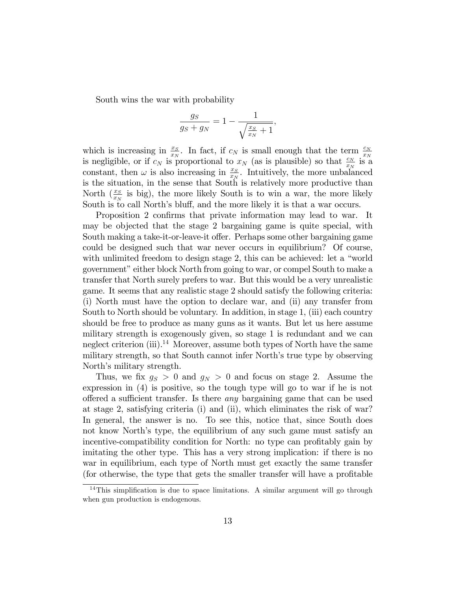South wins the war with probability

$$
\frac{g_S}{g_S + g_N} = 1 - \frac{1}{\sqrt{\frac{x_S}{x_N} + 1}},
$$

which is increasing in  $\frac{x_S}{x_N}$ . In fact, if  $c_N$  is small enough that the term  $\frac{c_N}{x_N}$  is a gligible, or if  $c_N$  is proportional to  $x_N$  (as is plausible) so that  $\frac{c_N}{x_N}$  is a constant, then  $\omega$  is also increasing in  $\frac{x_S}{x_N}$ . Intuitively, the more unbalanced is the situation, in the sense that South is relatively more productive than North  $(\frac{x_S}{x_N})$  is big), the more likely South is to win a war, the more likely South is to call North's bluff, and the more likely it is that a war occurs.

Proposition 2 confirms that private information may lead to war. It may be objected that the stage 2 bargaining game is quite special, with South making a take-it-or-leave-it offer. Perhaps some other bargaining game could be designed such that war never occurs in equilibrium? Of course, with unlimited freedom to design stage 2, this can be achieved: let a "world" government" either block North from going to war, or compel South to make a transfer that North surely prefers to war. But this would be a very unrealistic game. It seems that any realistic stage 2 should satisfy the following criteria: (i) North must have the option to declare war, and (ii) any transfer from South to North should be voluntary. In addition, in stage 1, (iii) each country should be free to produce as many guns as it wants. But let us here assume military strength is exogenously given, so stage 1 is redundant and we can neglect criterion (iii).<sup>14</sup> Moreover, assume both types of North have the same military strength, so that South cannot infer North's true type by observing North's military strength.

Thus, we fix  $g_S > 0$  and  $g_N > 0$  and focus on stage 2. Assume the expression in (4) is positive, so the tough type will go to war if he is not offered a sufficient transfer. Is there *any* bargaining game that can be used at stage 2, satisfying criteria (i) and (ii), which eliminates the risk of war? In general, the answer is no. To see this, notice that, since South does not know North's type, the equilibrium of any such game must satisfy an incentive-compatibility condition for North: no type can profitably gain by imitating the other type. This has a very strong implication: if there is no war in equilibrium, each type of North must get exactly the same transfer (for otherwise, the type that gets the smaller transfer will have a profitable

 $14$ This simplification is due to space limitations. A similar argument will go through when gun production is endogenous.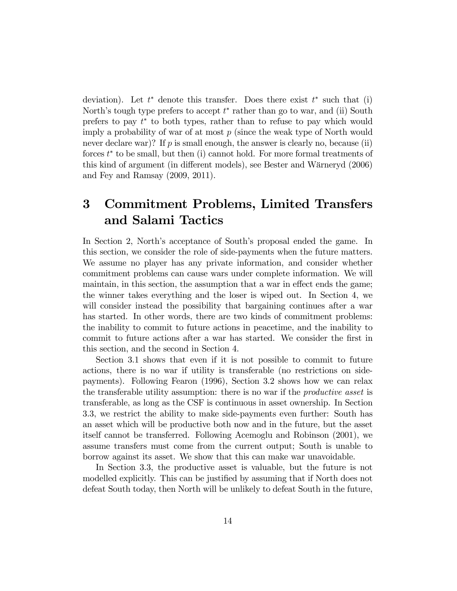deviation). Let  $t^*$  denote this transfer. Does there exist  $t^*$  such that (i) North's tough type prefers to accept  $t^*$  rather than go to war, and (ii) South prefers to pay  $t^*$  to both types, rather than to refuse to pay which would imply a probability of war of at most  $p$  (since the weak type of North would never declare war)? If  $p$  is small enough, the answer is clearly no, because (ii) forces  $t^*$  to be small, but then (i) cannot hold. For more formal treatments of this kind of argument (in different models), see Bester and Wärneryd (2006) and Fey and Ramsay (2009, 2011).

## 3 Commitment Problems, Limited Transfers and Salami Tactics

In Section 2, North's acceptance of South's proposal ended the game. In this section, we consider the role of side-payments when the future matters. We assume no player has any private information, and consider whether commitment problems can cause wars under complete information. We will maintain, in this section, the assumption that a war in effect ends the game; the winner takes everything and the loser is wiped out. In Section 4, we will consider instead the possibility that bargaining continues after a war has started. In other words, there are two kinds of commitment problems: the inability to commit to future actions in peacetime, and the inability to commit to future actions after a war has started. We consider the Örst in this section, and the second in Section 4.

Section 3.1 shows that even if it is not possible to commit to future actions, there is no war if utility is transferable (no restrictions on sidepayments). Following Fearon (1996), Section 3.2 shows how we can relax the transferable utility assumption: there is no war if the *productive asset* is transferable, as long as the CSF is continuous in asset ownership. In Section 3.3, we restrict the ability to make side-payments even further: South has an asset which will be productive both now and in the future, but the asset itself cannot be transferred. Following Acemoglu and Robinson (2001), we assume transfers must come from the current output; South is unable to borrow against its asset. We show that this can make war unavoidable.

In Section 3.3, the productive asset is valuable, but the future is not modelled explicitly. This can be justified by assuming that if North does not defeat South today, then North will be unlikely to defeat South in the future,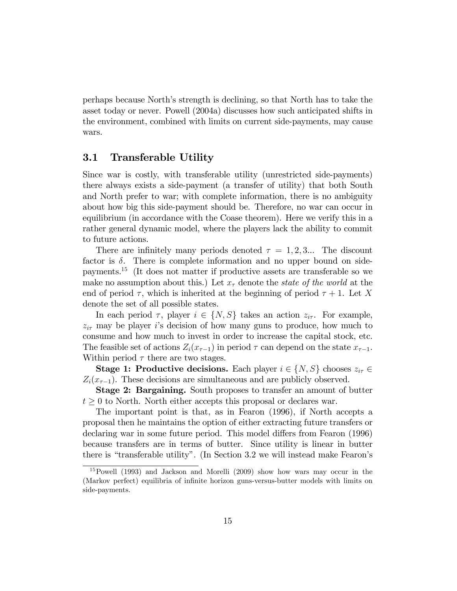perhaps because Northís strength is declining, so that North has to take the asset today or never. Powell (2004a) discusses how such anticipated shifts in the environment, combined with limits on current side-payments, may cause wars.

#### 3.1 Transferable Utility

Since war is costly, with transferable utility (unrestricted side-payments) there always exists a side-payment (a transfer of utility) that both South and North prefer to war; with complete information, there is no ambiguity about how big this side-payment should be. Therefore, no war can occur in equilibrium (in accordance with the Coase theorem). Here we verify this in a rather general dynamic model, where the players lack the ability to commit to future actions.

There are infinitely many periods denoted  $\tau = 1, 2, 3...$  The discount factor is  $\delta$ . There is complete information and no upper bound on sidepayments.<sup>15</sup> (It does not matter if productive assets are transferable so we make no assumption about this.) Let  $x<sub>\tau</sub>$  denote the state of the world at the end of period  $\tau$ , which is inherited at the beginning of period  $\tau + 1$ . Let X denote the set of all possible states.

In each period  $\tau$ , player  $i \in \{N, S\}$  takes an action  $z_{i\tau}$ . For example,  $z_{i\tau}$  may be player i's decision of how many guns to produce, how much to consume and how much to invest in order to increase the capital stock, etc. The feasible set of actions  $Z_i(x_{\tau-1})$  in period  $\tau$  can depend on the state  $x_{\tau-1}$ . Within period  $\tau$  there are two stages.

**Stage 1: Productive decisions.** Each player  $i \in \{N, S\}$  chooses  $z_{i\tau} \in$  $Z_i(x_{\tau-1})$ . These decisions are simultaneous and are publicly observed.

Stage 2: Bargaining. South proposes to transfer an amount of butter  $t \geq 0$  to North. North either accepts this proposal or declares war.

The important point is that, as in Fearon (1996), if North accepts a proposal then he maintains the option of either extracting future transfers or declaring war in some future period. This model differs from Fearon (1996) because transfers are in terms of butter. Since utility is linear in butter there is "transferable utility". (In Section 3.2 we will instead make Fearon's

<sup>15</sup>Powell (1993) and Jackson and Morelli (2009) show how wars may occur in the (Markov perfect) equilibria of infinite horizon guns-versus-butter models with limits on side-payments.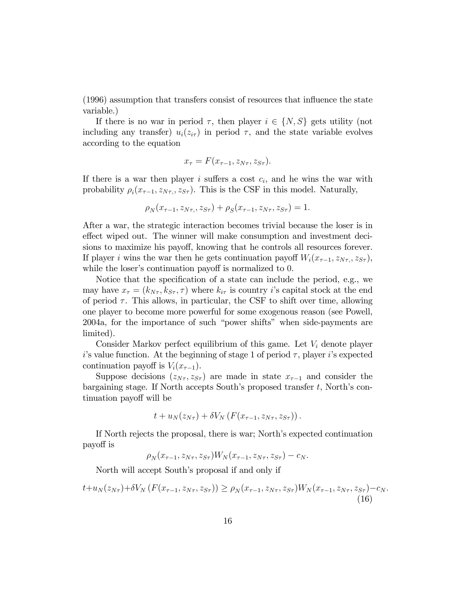(1996) assumption that transfers consist of resources that ináuence the state variable.)

If there is no war in period  $\tau$ , then player  $i \in \{N, S\}$  gets utility (not including any transfer)  $u_i(z_{i\tau})$  in period  $\tau$ , and the state variable evolves according to the equation

$$
x_{\tau} = F(x_{\tau-1}, z_{N\tau}, z_{S\tau}).
$$

If there is a war then player i suffers a cost  $c_i$ , and he wins the war with probability  $\rho_i(x_{\tau-1}, z_{N\tau}, z_{S\tau})$ . This is the CSF in this model. Naturally,

$$
\rho_N(x_{\tau-1}, z_{N\tau}, z_{S\tau}) + \rho_S(x_{\tau-1}, z_{N\tau}, z_{S\tau}) = 1.
$$

After a war, the strategic interaction becomes trivial because the loser is in effect wiped out. The winner will make consumption and investment deci-sions to maximize his payoff, knowing that he controls all resources forever. If player i wins the war then he gets continuation payoff  $W_i(x_{\tau-1}, z_{N\tau}, z_{S\tau}),$ while the loser's continuation payoff is normalized to 0.

Notice that the specification of a state can include the period, e.g., we may have  $x_{\tau} = (k_{N_{\tau}}, k_{S_{\tau}}, \tau)$  where  $k_{i\tau}$  is country *i*'s capital stock at the end of period  $\tau$ . This allows, in particular, the CSF to shift over time, allowing one player to become more powerful for some exogenous reason (see Powell, 2004a, for the importance of such "power shifts" when side-payments are limited).

Consider Markov perfect equilibrium of this game. Let  $V_i$  denote player i's value function. At the beginning of stage 1 of period  $\tau$ , player i's expected continuation payoff is  $V_i(x_{\tau-1})$ .

Suppose decisions  $(z_{N_{\tau}}, z_{S_{\tau}})$  are made in state  $x_{\tau-1}$  and consider the bargaining stage. If North accepts South's proposed transfer t, North's continuation payoff will be

$$
t+u_N(z_{N\tau})+\delta V_N\left(F(x_{\tau-1},z_{N\tau},z_{S\tau})\right).
$$

If North rejects the proposal, there is war; North's expected continuation payo§ is

$$
\rho_N(x_{\tau-1}, z_{N\tau}, z_{S\tau})W_N(x_{\tau-1}, z_{N\tau}, z_{S\tau}) - c_N.
$$

North will accept South's proposal if and only if

$$
t + u_N(z_{N\tau}) + \delta V_N \left( F(x_{\tau-1}, z_{N\tau}, z_{S\tau}) \right) \ge \rho_N(x_{\tau-1}, z_{N\tau}, z_{S\tau}) W_N(x_{\tau-1}, z_{N\tau}, z_{S\tau}) - c_N. \tag{16}
$$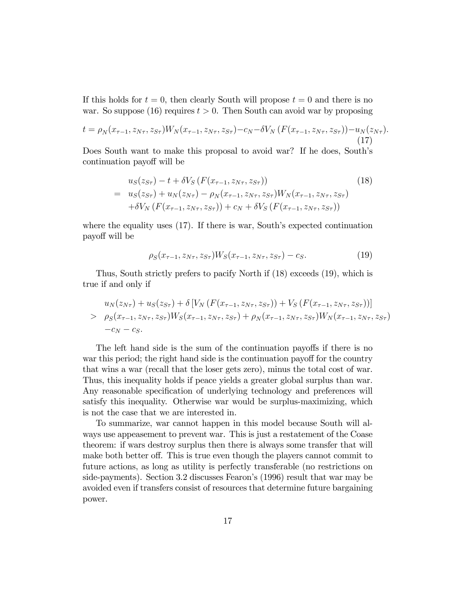If this holds for  $t = 0$ , then clearly South will propose  $t = 0$  and there is no war. So suppose (16) requires  $t > 0$ . Then South can avoid war by proposing

$$
t = \rho_N(x_{\tau-1}, z_{N\tau}, z_{S\tau}) W_N(x_{\tau-1}, z_{N\tau}, z_{S\tau}) - c_N - \delta V_N(F(x_{\tau-1}, z_{N\tau}, z_{S\tau})) - u_N(z_{N\tau}).
$$
\n(17)

Does South want to make this proposal to avoid war? If he does, South's continuation payoff will be

$$
u_S(z_{S\tau}) - t + \delta V_S \left( F(x_{\tau-1}, z_{N\tau}, z_{S\tau}) \right)
$$
\n
$$
= u_S(z_{S\tau}) + u_N(z_{N\tau}) - \rho_N(x_{\tau-1}, z_{N\tau}, z_{S\tau}) W_N(x_{\tau-1}, z_{N\tau}, z_{S\tau})
$$
\n
$$
+ \delta V_N \left( F(x_{\tau-1}, z_{N\tau}, z_{S\tau}) \right) + c_N + \delta V_S \left( F(x_{\tau-1}, z_{N\tau}, z_{S\tau}) \right)
$$
\n
$$
(18)
$$

where the equality uses  $(17)$ . If there is war, South's expected continuation payo§ will be

$$
\rho_S(x_{\tau-1}, z_{N\tau}, z_{S\tau}) W_S(x_{\tau-1}, z_{N\tau}, z_{S\tau}) - c_S.
$$
\n(19)

Thus, South strictly prefers to pacify North if (18) exceeds (19), which is true if and only if

$$
u_N(z_{N\tau}) + u_S(z_{S\tau}) + \delta \left[ V_N \left( F(x_{\tau-1}, z_{N\tau}, z_{S\tau}) \right) + V_S \left( F(x_{\tau-1}, z_{N\tau}, z_{S\tau}) \right) \right]
$$
  
> 
$$
\rho_S(x_{\tau-1}, z_{N\tau}, z_{S\tau}) W_S(x_{\tau-1}, z_{N\tau}, z_{S\tau}) + \rho_N(x_{\tau-1}, z_{N\tau}, z_{S\tau}) W_N(x_{\tau-1}, z_{N\tau}, z_{S\tau})
$$
  
-
$$
-c_N - c_S.
$$

The left hand side is the sum of the continuation payoffs if there is no war this period; the right hand side is the continuation payoff for the country that wins a war (recall that the loser gets zero), minus the total cost of war. Thus, this inequality holds if peace yields a greater global surplus than war. Any reasonable specification of underlying technology and preferences will satisfy this inequality. Otherwise war would be surplus-maximizing, which is not the case that we are interested in.

To summarize, war cannot happen in this model because South will always use appeasement to prevent war. This is just a restatement of the Coase theorem: if wars destroy surplus then there is always some transfer that will make both better off. This is true even though the players cannot commit to future actions, as long as utility is perfectly transferable (no restrictions on side-payments). Section 3.2 discusses Fearon's (1996) result that war may be avoided even if transfers consist of resources that determine future bargaining power.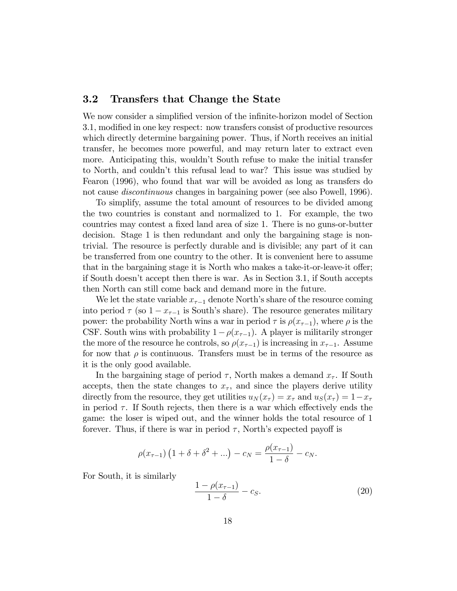#### 3.2 Transfers that Change the State

We now consider a simplified version of the infinite-horizon model of Section 3.1, modified in one key respect: now transfers consist of productive resources which directly determine bargaining power. Thus, if North receives an initial transfer, he becomes more powerful, and may return later to extract even more. Anticipating this, wouldn't South refuse to make the initial transfer to North, and couldnít this refusal lead to war? This issue was studied by Fearon (1996), who found that war will be avoided as long as transfers do not cause discontinuous changes in bargaining power (see also Powell, 1996).

To simplify, assume the total amount of resources to be divided among the two countries is constant and normalized to 1. For example, the two countries may contest a fixed land area of size 1. There is no guns-or-butter decision. Stage 1 is then redundant and only the bargaining stage is nontrivial. The resource is perfectly durable and is divisible; any part of it can be transferred from one country to the other. It is convenient here to assume that in the bargaining stage it is North who makes a take-it-or-leave-it offer; if South doesnít accept then there is war. As in Section 3.1, if South accepts then North can still come back and demand more in the future.

We let the state variable  $x_{\tau-1}$  denote North's share of the resource coming into period  $\tau$  (so  $1 - x_{\tau-1}$  is South's share). The resource generates military power: the probability North wins a war in period  $\tau$  is  $\rho(x_{\tau-1})$ , where  $\rho$  is the CSF. South wins with probability  $1-\rho(x_{\tau-1})$ . A player is militarily stronger the more of the resource he controls, so  $\rho(x_{\tau-1})$  is increasing in  $x_{\tau-1}$ . Assume for now that  $\rho$  is continuous. Transfers must be in terms of the resource as it is the only good available.

In the bargaining stage of period  $\tau$ , North makes a demand  $x_{\tau}$ . If South accepts, then the state changes to  $x_{\tau}$ , and since the players derive utility directly from the resource, they get utilities  $u_N(x_\tau) = x_\tau$  and  $u_S(x_\tau) = 1-x_\tau$ in period  $\tau$ . If South rejects, then there is a war which effectively ends the game: the loser is wiped out, and the winner holds the total resource of 1 forever. Thus, if there is war in period  $\tau$ , North's expected payoff is

$$
\rho(x_{\tau-1}) \left(1 + \delta + \delta^2 + \ldots\right) - c_N = \frac{\rho(x_{\tau-1})}{1 - \delta} - c_N.
$$

For South, it is similarly

$$
\frac{1 - \rho(x_{\tau - 1})}{1 - \delta} - c_S.
$$
 (20)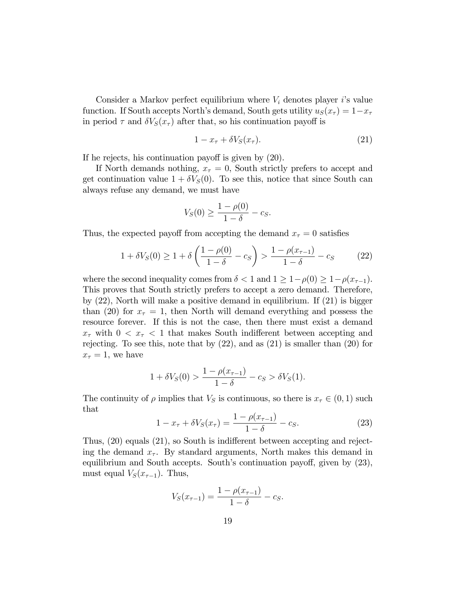Consider a Markov perfect equilibrium where  $V_i$  denotes player is value function. If South accepts North's demand, South gets utility  $u_S(x_\tau) = 1-x_\tau$ in period  $\tau$  and  $\delta V_S(x_\tau)$  after that, so his continuation payoff is

$$
1 - x_{\tau} + \delta V_S(x_{\tau}). \tag{21}
$$

If he rejects, his continuation payoff is given by  $(20)$ .

If North demands nothing,  $x<sub>\tau</sub> = 0$ , South strictly prefers to accept and get continuation value  $1 + \delta V_s(0)$ . To see this, notice that since South can always refuse any demand, we must have

$$
V_S(0) \ge \frac{1 - \rho(0)}{1 - \delta} - c_S.
$$

Thus, the expected payoff from accepting the demand  $x<sub>\tau</sub> = 0$  satisfies

$$
1 + \delta V_S(0) \ge 1 + \delta \left( \frac{1 - \rho(0)}{1 - \delta} - c_S \right) > \frac{1 - \rho(x_{\tau - 1})}{1 - \delta} - c_S \tag{22}
$$

where the second inequality comes from  $\delta < 1$  and  $1 \geq 1-\rho(0) \geq 1-\rho(x_{\tau-1}).$ This proves that South strictly prefers to accept a zero demand. Therefore, by (22), North will make a positive demand in equilibrium. If (21) is bigger than (20) for  $x<sub>\tau</sub> = 1$ , then North will demand everything and possess the resource forever. If this is not the case, then there must exist a demand  $x_{\tau}$  with  $0 < x_{\tau} < 1$  that makes South indifferent between accepting and rejecting. To see this, note that by (22), and as (21) is smaller than (20) for  $x_{\tau} = 1$ , we have

$$
1 + \delta V_S(0) > \frac{1 - \rho(x_{\tau - 1})}{1 - \delta} - c_S > \delta V_S(1).
$$

The continuity of  $\rho$  implies that  $V_S$  is continuous, so there is  $x_\tau \in (0, 1)$  such that

$$
1 - x_{\tau} + \delta V_S(x_{\tau}) = \frac{1 - \rho(x_{\tau - 1})}{1 - \delta} - c_S.
$$
 (23)

Thus,  $(20)$  equals  $(21)$ , so South is indifferent between accepting and rejecting the demand  $x_{\tau}$ . By standard arguments, North makes this demand in equilibrium and South accepts. South's continuation payoff, given by  $(23)$ , must equal  $V_S(x_{\tau-1})$ . Thus,

$$
V_S(x_{\tau-1}) = \frac{1 - \rho(x_{\tau-1})}{1 - \delta} - c_S.
$$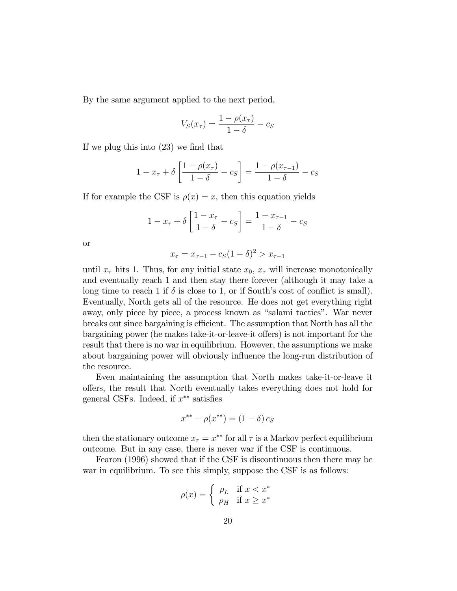By the same argument applied to the next period,

$$
V_S(x_\tau) = \frac{1 - \rho(x_\tau)}{1 - \delta} - c_S
$$

If we plug this into  $(23)$  we find that

$$
1 - x_{\tau} + \delta \left[ \frac{1 - \rho(x_{\tau})}{1 - \delta} - c_{S} \right] = \frac{1 - \rho(x_{\tau - 1})}{1 - \delta} - c_{S}
$$

If for example the CSF is  $\rho(x) = x$ , then this equation yields

$$
1 - x_{\tau} + \delta \left[ \frac{1 - x_{\tau}}{1 - \delta} - c_{S} \right] = \frac{1 - x_{\tau - 1}}{1 - \delta} - c_{S}
$$

or

$$
x_{\tau} = x_{\tau - 1} + c_S (1 - \delta)^2 > x_{\tau - 1}
$$

until  $x_{\tau}$  hits 1. Thus, for any initial state  $x_0$ ,  $x_{\tau}$  will increase monotonically and eventually reach 1 and then stay there forever (although it may take a long time to reach 1 if  $\delta$  is close to 1, or if South's cost of conflict is small). Eventually, North gets all of the resource. He does not get everything right away, only piece by piece, a process known as "salami tactics". War never breaks out since bargaining is efficient. The assumption that North has all the bargaining power (he makes take-it-or-leave-it offers) is not important for the result that there is no war in equilibrium. However, the assumptions we make about bargaining power will obviously influence the long-run distribution of the resource.

Even maintaining the assumption that North makes take-it-or-leave it o§ers, the result that North eventually takes everything does not hold for general CSFs. Indeed, if  $x^{**}$  satisfies

$$
x^{**} - \rho(x^{**}) = (1 - \delta) c_S
$$

then the stationary outcome  $x_{\tau} = x^{**}$  for all  $\tau$  is a Markov perfect equilibrium outcome. But in any case, there is never war if the CSF is continuous.

Fearon (1996) showed that if the CSF is discontinuous then there may be war in equilibrium. To see this simply, suppose the CSF is as follows:

$$
\rho(x) = \begin{cases} \rho_L & \text{if } x < x^* \\ \rho_H & \text{if } x \geq x^* \end{cases}
$$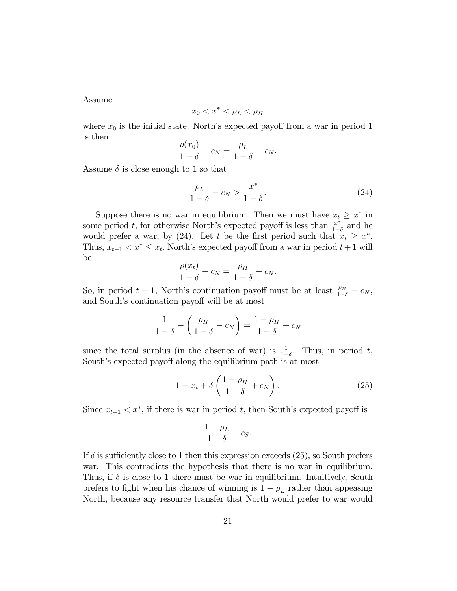Assume

$$
x_0 < x^* < \rho_L < \rho_H
$$

where  $x_0$  is the initial state. North's expected payoff from a war in period 1 is then

$$
\frac{\rho(x_0)}{1-\delta} - c_N = \frac{\rho_L}{1-\delta} - c_N.
$$

Assume  $\delta$  is close enough to 1 so that

$$
\frac{\rho_L}{1-\delta} - c_N > \frac{x^*}{1-\delta}.\tag{24}
$$

Suppose there is no war in equilibrium. Then we must have  $x_t \geq x^*$  in some period t, for otherwise North's expected payoff is less than  $\frac{x^*}{1-x}$  $rac{x^*}{1-\delta}$  and he would prefer a war, by (24). Let t be the first period such that  $x_t \geq x^*$ . Thus,  $x_{t-1} < x^* \leq x_t$ . North's expected payoff from a war in period  $t+1$  will be

$$
\frac{\rho(x_t)}{1-\delta} - c_N = \frac{\rho_H}{1-\delta} - c_N.
$$

So, in period  $t + 1$ , North's continuation payoff must be at least  $\frac{\rho_H}{1-\delta} - c_N$ , and South's continuation payoff will be at most

$$
\frac{1}{1-\delta} - \left(\frac{\rho_H}{1-\delta} - c_N\right) = \frac{1-\rho_H}{1-\delta} + c_N
$$

since the total surplus (in the absence of war) is  $\frac{1}{1-\delta}$ . Thus, in period t, South's expected payoff along the equilibrium path is at most

$$
1 - x_t + \delta \left( \frac{1 - \rho_H}{1 - \delta} + c_N \right). \tag{25}
$$

Since  $x_{t-1} < x^*$ , if there is war in period t, then South's expected payoff is

$$
\frac{1-\rho_L}{1-\delta} - c_S.
$$

If  $\delta$  is sufficiently close to 1 then this expression exceeds (25), so South prefers war. This contradicts the hypothesis that there is no war in equilibrium. Thus, if  $\delta$  is close to 1 there must be war in equilibrium. Intuitively, South prefers to fight when his chance of winning is  $1 - \rho_L$  rather than appeasing North, because any resource transfer that North would prefer to war would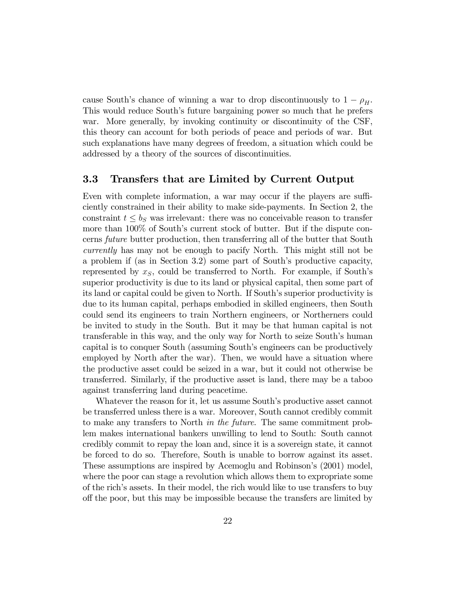cause South's chance of winning a war to drop discontinuously to  $1 - \rho_H$ . This would reduce South's future bargaining power so much that he prefers war. More generally, by invoking continuity or discontinuity of the CSF, this theory can account for both periods of peace and periods of war. But such explanations have many degrees of freedom, a situation which could be addressed by a theory of the sources of discontinuities.

#### 3.3 Transfers that are Limited by Current Output

Even with complete information, a war may occur if the players are sufficiently constrained in their ability to make side-payments. In Section 2, the constraint  $t \leq b_S$  was irrelevant: there was no conceivable reason to transfer more than  $100\%$  of South's current stock of butter. But if the dispute concerns future butter production, then transferring all of the butter that South currently has may not be enough to pacify North. This might still not be a problem if (as in Section 3.2) some part of South's productive capacity, represented by  $x<sub>S</sub>$ , could be transferred to North. For example, if South's superior productivity is due to its land or physical capital, then some part of its land or capital could be given to North. If South's superior productivity is due to its human capital, perhaps embodied in skilled engineers, then South could send its engineers to train Northern engineers, or Northerners could be invited to study in the South. But it may be that human capital is not transferable in this way, and the only way for North to seize South's human capital is to conquer South (assuming South's engineers can be productively employed by North after the war). Then, we would have a situation where the productive asset could be seized in a war, but it could not otherwise be transferred. Similarly, if the productive asset is land, there may be a taboo against transferring land during peacetime.

Whatever the reason for it, let us assume South's productive asset cannot be transferred unless there is a war. Moreover, South cannot credibly commit to make any transfers to North in the future. The same commitment problem makes international bankers unwilling to lend to South: South cannot credibly commit to repay the loan and, since it is a sovereign state, it cannot be forced to do so. Therefore, South is unable to borrow against its asset. These assumptions are inspired by Acemoglu and Robinson's (2001) model, where the poor can stage a revolution which allows them to expropriate some of the richís assets. In their model, the rich would like to use transfers to buy o§ the poor, but this may be impossible because the transfers are limited by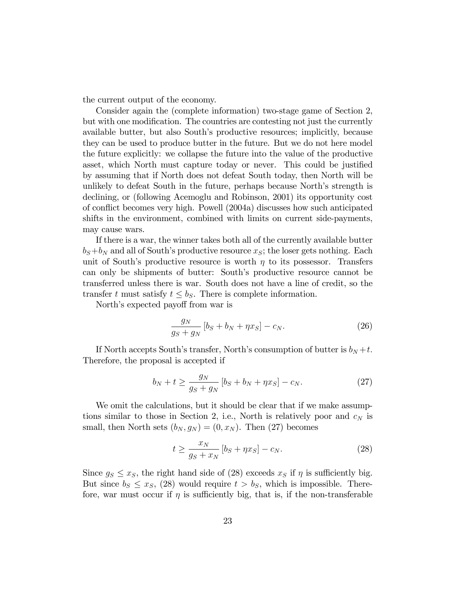the current output of the economy.

Consider again the (complete information) two-stage game of Section 2, but with one modification. The countries are contesting not just the currently available butter, but also Southís productive resources; implicitly, because they can be used to produce butter in the future. But we do not here model the future explicitly: we collapse the future into the value of the productive asset, which North must capture today or never. This could be justified by assuming that if North does not defeat South today, then North will be unlikely to defeat South in the future, perhaps because North's strength is declining, or (following Acemoglu and Robinson, 2001) its opportunity cost of conáict becomes very high. Powell (2004a) discusses how such anticipated shifts in the environment, combined with limits on current side-payments, may cause wars.

If there is a war, the winner takes both all of the currently available butter  $b_S+b_N$  and all of South's productive resource  $x_S$ ; the loser gets nothing. Each unit of South's productive resource is worth  $\eta$  to its possessor. Transfers can only be shipments of butter: South's productive resource cannot be transferred unless there is war. South does not have a line of credit, so the transfer t must satisfy  $t \leq b_S$ . There is complete information.

North's expected payoff from war is

$$
\frac{g_N}{g_S + g_N} \left[ b_S + b_N + \eta x_S \right] - c_N. \tag{26}
$$

If North accepts South's transfer, North's consumption of butter is  $b_N + t$ . Therefore, the proposal is accepted if

$$
b_N + t \ge \frac{g_N}{g_S + g_N} \left[ b_S + b_N + \eta x_S \right] - c_N. \tag{27}
$$

We omit the calculations, but it should be clear that if we make assumptions similar to those in Section 2, i.e., North is relatively poor and  $c_N$  is small, then North sets  $(b_N, g_N) = (0, x_N)$ . Then (27) becomes

$$
t \ge \frac{x_N}{g_S + x_N} \left[ b_S + \eta x_S \right] - c_N. \tag{28}
$$

Since  $g_S \leq x_S$ , the right hand side of (28) exceeds  $x_S$  if  $\eta$  is sufficiently big. But since  $b_S \leq x_S$ , (28) would require  $t > b_S$ , which is impossible. Therefore, war must occur if  $\eta$  is sufficiently big, that is, if the non-transferable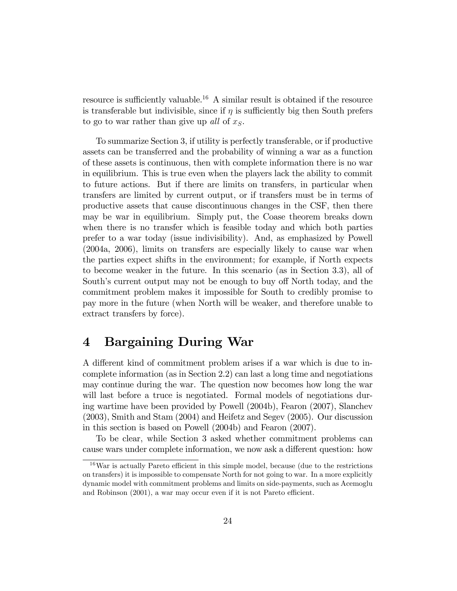resource is sufficiently valuable.<sup>16</sup> A similar result is obtained if the resource is transferable but indivisible, since if  $\eta$  is sufficiently big then South prefers to go to war rather than give up all of  $x<sub>S</sub>$ .

To summarize Section 3, if utility is perfectly transferable, or if productive assets can be transferred and the probability of winning a war as a function of these assets is continuous, then with complete information there is no war in equilibrium. This is true even when the players lack the ability to commit to future actions. But if there are limits on transfers, in particular when transfers are limited by current output, or if transfers must be in terms of productive assets that cause discontinuous changes in the CSF, then there may be war in equilibrium. Simply put, the Coase theorem breaks down when there is no transfer which is feasible today and which both parties prefer to a war today (issue indivisibility). And, as emphasized by Powell (2004a, 2006), limits on transfers are especially likely to cause war when the parties expect shifts in the environment; for example, if North expects to become weaker in the future. In this scenario (as in Section 3.3), all of South's current output may not be enough to buy off North today, and the commitment problem makes it impossible for South to credibly promise to pay more in the future (when North will be weaker, and therefore unable to extract transfers by force).

### 4 Bargaining During War

A different kind of commitment problem arises if a war which is due to incomplete information (as in Section 2.2) can last a long time and negotiations may continue during the war. The question now becomes how long the war will last before a truce is negotiated. Formal models of negotiations during wartime have been provided by Powell (2004b), Fearon (2007), Slanchev (2003), Smith and Stam (2004) and Heifetz and Segev (2005). Our discussion in this section is based on Powell (2004b) and Fearon (2007).

To be clear, while Section 3 asked whether commitment problems can cause wars under complete information, we now ask a different question: how

 $16$ War is actually Pareto efficient in this simple model, because (due to the restrictions on transfers) it is impossible to compensate North for not going to war. In a more explicitly dynamic model with commitment problems and limits on side-payments, such as Acemoglu and Robinson  $(2001)$ , a war may occur even if it is not Pareto efficient.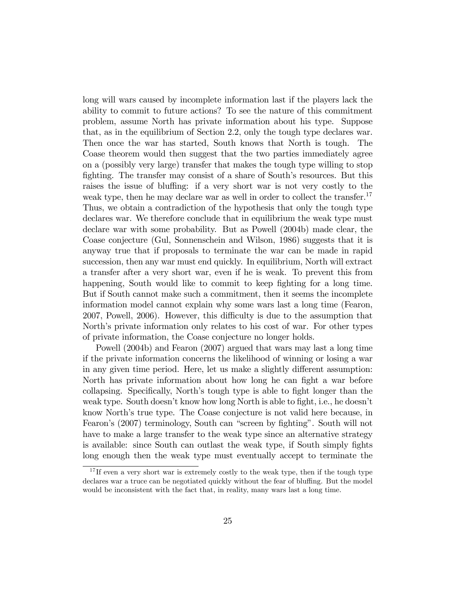long will wars caused by incomplete information last if the players lack the ability to commit to future actions? To see the nature of this commitment problem, assume North has private information about his type. Suppose that, as in the equilibrium of Section 2.2, only the tough type declares war. Then once the war has started, South knows that North is tough. The Coase theorem would then suggest that the two parties immediately agree on a (possibly very large) transfer that makes the tough type willing to stop fighting. The transfer may consist of a share of South's resources. But this raises the issue of bluffing: if a very short war is not very costly to the weak type, then he may declare war as well in order to collect the transfer.<sup>17</sup> Thus, we obtain a contradiction of the hypothesis that only the tough type declares war. We therefore conclude that in equilibrium the weak type must declare war with some probability. But as Powell (2004b) made clear, the Coase conjecture (Gul, Sonnenschein and Wilson, 1986) suggests that it is anyway true that if proposals to terminate the war can be made in rapid succession, then any war must end quickly. In equilibrium, North will extract a transfer after a very short war, even if he is weak. To prevent this from happening, South would like to commit to keep fighting for a long time. But if South cannot make such a commitment, then it seems the incomplete information model cannot explain why some wars last a long time (Fearon, 2007, Powell, 2006). However, this difficulty is due to the assumption that North's private information only relates to his cost of war. For other types of private information, the Coase conjecture no longer holds.

Powell (2004b) and Fearon (2007) argued that wars may last a long time if the private information concerns the likelihood of winning or losing a war in any given time period. Here, let us make a slightly different assumption: North has private information about how long he can fight a war before collapsing. Specifically, North's tough type is able to fight longer than the weak type. South doesn't know how long North is able to fight, i.e., he doesn't know North's true type. The Coase conjecture is not valid here because, in Fearon's (2007) terminology, South can "screen by fighting". South will not have to make a large transfer to the weak type since an alternative strategy is available: since South can outlast the weak type, if South simply fights long enough then the weak type must eventually accept to terminate the

<sup>&</sup>lt;sup>17</sup> If even a very short war is extremely costly to the weak type, then if the tough type declares war a truce can be negotiated quickly without the fear of bluffing. But the model would be inconsistent with the fact that, in reality, many wars last a long time.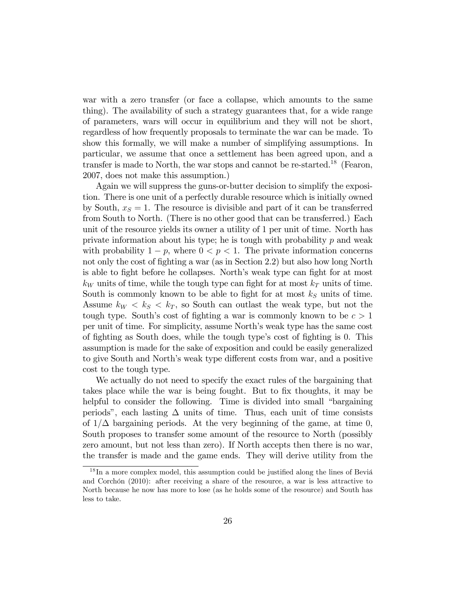war with a zero transfer (or face a collapse, which amounts to the same thing). The availability of such a strategy guarantees that, for a wide range of parameters, wars will occur in equilibrium and they will not be short, regardless of how frequently proposals to terminate the war can be made. To show this formally, we will make a number of simplifying assumptions. In particular, we assume that once a settlement has been agreed upon, and a transfer is made to North, the war stops and cannot be re-started.<sup>18</sup> (Fearon, 2007, does not make this assumption.)

Again we will suppress the guns-or-butter decision to simplify the exposition. There is one unit of a perfectly durable resource which is initially owned by South,  $x<sub>S</sub> = 1$ . The resource is divisible and part of it can be transferred from South to North. (There is no other good that can be transferred.) Each unit of the resource yields its owner a utility of 1 per unit of time. North has private information about his type; he is tough with probability  $p$  and weak with probability  $1 - p$ , where  $0 < p < 1$ . The private information concerns not only the cost of fighting a war (as in Section 2.2) but also how long North is able to fight before he collapses. North's weak type can fight for at most  $k_W$  units of time, while the tough type can fight for at most  $k_T$  units of time. South is commonly known to be able to fight for at most  $k<sub>S</sub>$  units of time. Assume  $k_W < k_S < k_T$ , so South can outlast the weak type, but not the tough type. South's cost of fighting a war is commonly known to be  $c > 1$ per unit of time. For simplicity, assume Northís weak type has the same cost of fighting as South does, while the tough type's cost of fighting is 0. This assumption is made for the sake of exposition and could be easily generalized to give South and North's weak type different costs from war, and a positive cost to the tough type.

We actually do not need to specify the exact rules of the bargaining that takes place while the war is being fought. But to fix thoughts, it may be helpful to consider the following. Time is divided into small "bargaining periods", each lasting  $\Delta$  units of time. Thus, each unit of time consists of  $1/\Delta$  bargaining periods. At the very beginning of the game, at time 0, South proposes to transfer some amount of the resource to North (possibly zero amount, but not less than zero). If North accepts then there is no war, the transfer is made and the game ends. They will derive utility from the

 $18$  In a more complex model, this assumption could be justified along the lines of Beviá and Corchón  $(2010)$ : after receiving a share of the resource, a war is less attractive to North because he now has more to lose (as he holds some of the resource) and South has less to take.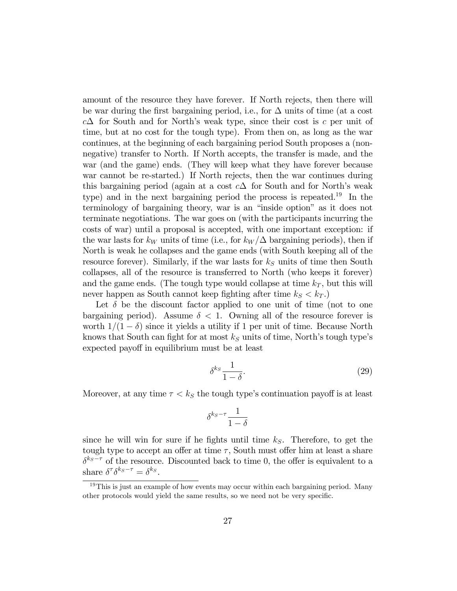amount of the resource they have forever. If North rejects, then there will be war during the first bargaining period, i.e., for  $\Delta$  units of time (at a cost  $c\Delta$  for South and for North's weak type, since their cost is c per unit of time, but at no cost for the tough type). From then on, as long as the war continues, at the beginning of each bargaining period South proposes a (nonnegative) transfer to North. If North accepts, the transfer is made, and the war (and the game) ends. (They will keep what they have forever because war cannot be re-started.) If North rejects, then the war continues during this bargaining period (again at a cost  $c\Delta$  for South and for North's weak type) and in the next bargaining period the process is repeated.<sup>19</sup> In the terminology of bargaining theory, war is an "inside option" as it does not terminate negotiations. The war goes on (with the participants incurring the costs of war) until a proposal is accepted, with one important exception: if the war lasts for  $k_W$  units of time (i.e., for  $k_W/\Delta$  bargaining periods), then if North is weak he collapses and the game ends (with South keeping all of the resource forever). Similarly, if the war lasts for  $k<sub>S</sub>$  units of time then South collapses, all of the resource is transferred to North (who keeps it forever) and the game ends. (The tough type would collapse at time  $k_T$ , but this will never happen as South cannot keep fighting after time  $k_S < k_T$ .)

Let  $\delta$  be the discount factor applied to one unit of time (not to one bargaining period). Assume  $\delta$  < 1. Owning all of the resource forever is worth  $1/(1 - \delta)$  since it yields a utility if 1 per unit of time. Because North knows that South can fight for at most  $k<sub>S</sub>$  units of time, North's tough type's expected payoff in equilibrium must be at least

$$
\delta^{k_S} \frac{1}{1-\delta}.\tag{29}
$$

Moreover, at any time  $\tau < k<sub>S</sub>$  the tough type's continuation payoff is at least

$$
\delta^{k_S - \tau} \frac{1}{1 - \delta}
$$

since he will win for sure if he fights until time  $k<sub>S</sub>$ . Therefore, to get the tough type to accept an offer at time  $\tau$ , South must offer him at least a share  $\delta^{k_S-\tau}$  of the resource. Discounted back to time 0, the offer is equivalent to a share  $\delta^{\tau} \delta^{k_S - \tau} = \delta^{k_S}$ .

<sup>&</sup>lt;sup>19</sup>This is just an example of how events may occur within each bargaining period. Many other protocols would yield the same results, so we need not be very specific.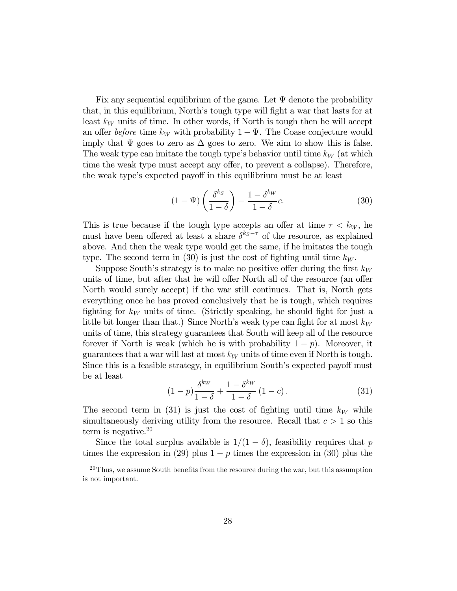Fix any sequential equilibrium of the game. Let  $\Psi$  denote the probability that, in this equilibrium, North's tough type will fight a war that lasts for at least  $k_W$  units of time. In other words, if North is tough then he will accept an offer before time  $k_W$  with probability  $1 - \Psi$ . The Coase conjecture would imply that  $\Psi$  goes to zero as  $\Delta$  goes to zero. We aim to show this is false. The weak type can imitate the tough type's behavior until time  $k_W$  (at which time the weak type must accept any offer, to prevent a collapse). Therefore, the weak type's expected payoff in this equilibrium must be at least

$$
(1 - \Psi) \left( \frac{\delta^{k_S}}{1 - \delta} \right) - \frac{1 - \delta^{k_W}}{1 - \delta} c.
$$
 (30)

This is true because if the tough type accepts an offer at time  $\tau < k_W$ , he must have been offered at least a share  $\delta^{k_S-\tau}$  of the resource, as explained above. And then the weak type would get the same, if he imitates the tough type. The second term in (30) is just the cost of fighting until time  $k_W$ .

Suppose South's strategy is to make no positive offer during the first  $k_W$ units of time, but after that he will offer North all of the resource (an offer North would surely accept) if the war still continues. That is, North gets everything once he has proved conclusively that he is tough, which requires fighting for  $k_W$  units of time. (Strictly speaking, he should fight for just a little bit longer than that.) Since North's weak type can fight for at most  $k_W$ units of time, this strategy guarantees that South will keep all of the resource forever if North is weak (which he is with probability  $1 - p$ ). Moreover, it guarantees that a war will last at most  $k_W$  units of time even if North is tough. Since this is a feasible strategy, in equilibrium South's expected payoff must be at least

$$
(1-p)\frac{\delta^{k_W}}{1-\delta} + \frac{1-\delta^{k_W}}{1-\delta} (1-c).
$$
 (31)

The second term in (31) is just the cost of fighting until time  $k_W$  while simultaneously deriving utility from the resource. Recall that  $c > 1$  so this term is negative.<sup>20</sup>

Since the total surplus available is  $1/(1 - \delta)$ , feasibility requires that p times the expression in (29) plus  $1-p$  times the expression in (30) plus the

 $20$ Thus, we assume South benefits from the resource during the war, but this assumption is not important.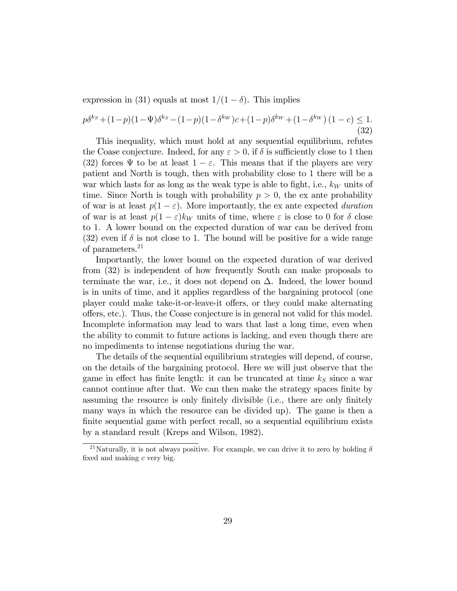expression in (31) equals at most  $1/(1 - \delta)$ . This implies

$$
p\delta^{k_S} + (1-p)(1-\Psi)\delta^{k_S} - (1-p)(1-\delta^{k_W})c + (1-p)\delta^{k_W} + (1-\delta^{k_W})(1-c) \le 1.
$$
\n(32)

This inequality, which must hold at any sequential equilibrium, refutes the Coase conjecture. Indeed, for any  $\varepsilon > 0$ , if  $\delta$  is sufficiently close to 1 then (32) forces  $\Psi$  to be at least  $1 - \varepsilon$ . This means that if the players are very patient and North is tough, then with probability close to 1 there will be a war which lasts for as long as the weak type is able to fight, i.e.,  $k_W$  units of time. Since North is tough with probability  $p > 0$ , the ex ante probability of war is at least  $p(1 - \varepsilon)$ . More importantly, the ex ante expected duration of war is at least  $p(1 - \varepsilon)k_W$  units of time, where  $\varepsilon$  is close to 0 for  $\delta$  close to 1. A lower bound on the expected duration of war can be derived from (32) even if  $\delta$  is not close to 1. The bound will be positive for a wide range of parameters.<sup>21</sup>

Importantly, the lower bound on the expected duration of war derived from (32) is independent of how frequently South can make proposals to terminate the war, i.e., it does not depend on  $\Delta$ . Indeed, the lower bound is in units of time, and it applies regardless of the bargaining protocol (one player could make take-it-or-leave-it offers, or they could make alternating o§ers, etc.). Thus, the Coase conjecture is in general not valid for this model. Incomplete information may lead to wars that last a long time, even when the ability to commit to future actions is lacking, and even though there are no impediments to intense negotiations during the war.

The details of the sequential equilibrium strategies will depend, of course, on the details of the bargaining protocol. Here we will just observe that the game in effect has finite length: it can be truncated at time  $k<sub>S</sub>$  since a war cannot continue after that. We can then make the strategy spaces finite by assuming the resource is only finitely divisible (i.e., there are only finitely many ways in which the resource can be divided up). The game is then a finite sequential game with perfect recall, so a sequential equilibrium exists by a standard result (Kreps and Wilson, 1982).

<sup>&</sup>lt;sup>21</sup>Naturally, it is not always positive. For example, we can drive it to zero by holding  $\delta$ fixed and making  $c$  very big.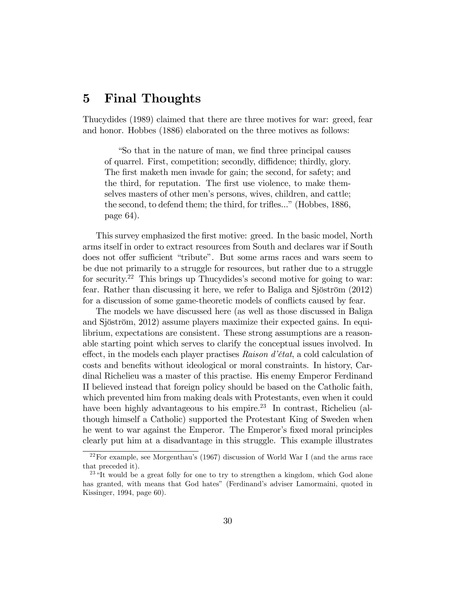### 5 Final Thoughts

Thucydides (1989) claimed that there are three motives for war: greed, fear and honor. Hobbes (1886) elaborated on the three motives as follows:

ìSo that in the nature of man, we Önd three principal causes of quarrel. First, competition; secondly, diffidence; thirdly, glory. The first maketh men invade for gain; the second, for safety; and the third, for reputation. The first use violence, to make themselves masters of other men's persons, wives, children, and cattle; the second, to defend them; the third, for trifles..." (Hobbes, 1886, page 64).

This survey emphasized the first motive: greed. In the basic model, North arms itself in order to extract resources from South and declares war if South does not offer sufficient "tribute". But some arms races and wars seem to be due not primarily to a struggle for resources, but rather due to a struggle for security.<sup>22</sup> This brings up Thucydides's second motive for going to war: fear. Rather than discussing it here, we refer to Baliga and Sjöström  $(2012)$ for a discussion of some game-theoretic models of conflicts caused by fear.

The models we have discussed here (as well as those discussed in Baliga and Sjöström, 2012) assume players maximize their expected gains. In equilibrium, expectations are consistent. These strong assumptions are a reasonable starting point which serves to clarify the conceptual issues involved. In effect, in the models each player practises  $Raison d'état$ , a cold calculation of costs and benefits without ideological or moral constraints. In history, Cardinal Richelieu was a master of this practise. His enemy Emperor Ferdinand II believed instead that foreign policy should be based on the Catholic faith, which prevented him from making deals with Protestants, even when it could have been highly advantageous to his empire.<sup>23</sup> In contrast, Richelieu (although himself a Catholic) supported the Protestant King of Sweden when he went to war against the Emperor. The Emperor's fixed moral principles clearly put him at a disadvantage in this struggle. This example illustrates

 $22$ For example, see Morgenthau's (1967) discussion of World War I (and the arms race that preceded it).

 $^{23}$  "It would be a great folly for one to try to strengthen a kingdom, which God alone has granted, with means that God hates" (Ferdinand's adviser Lamormaini, quoted in Kissinger, 1994, page 60).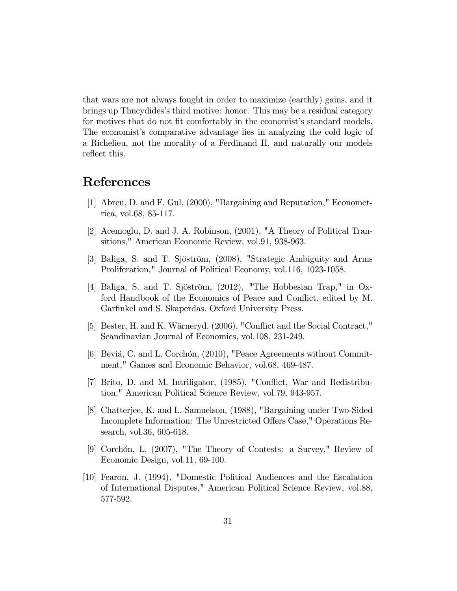that wars are not always fought in order to maximize (earthly) gains, and it brings up Thucydidesís third motive: honor. This may be a residual category for motives that do not fit comfortably in the economist's standard models. The economist's comparative advantage lies in analyzing the cold logic of a Richelieu, not the morality of a Ferdinand II, and naturally our models reflect this.

### References

- [1] Abreu, D. and F. Gul, (2000), "Bargaining and Reputation," Econometrica, vol.68, 85-117.
- [2] Acemoglu, D. and J. A. Robinson, (2001), "A Theory of Political Transitions," American Economic Review, vol.91, 938-963.
- [3] Baliga, S. and T. Sjöström, (2008), "Strategic Ambiguity and Arms Proliferation," Journal of Political Economy, vol.116, 1023-1058.
- [4] Baliga, S. and T. Sjöström,  $(2012)$ , "The Hobbesian Trap," in Oxford Handbook of the Economics of Peace and Conflict, edited by M. Garfinkel and S. Skaperdas. Oxford University Press.
- [5] Bester, H. and K. Wärneryd, (2006), "Conflict and the Social Contract," Scandinavian Journal of Economics, vol.108, 231-249.
- [6] Beviá, C. and L. Corchón, (2010), "Peace Agreements without Commitment," Games and Economic Behavior, vol.68, 469-487.
- [7] Brito, D. and M. Intriligator, (1985), "Conáict, War and Redistribution," American Political Science Review, vol.79, 943-957.
- [8] Chatterjee, K. and L. Samuelson, (1988), "Bargaining under Two-Sided Incomplete Information: The Unrestricted Offers Case," Operations Research, vol.36, 605-618.
- [9] Corchón, L. (2007), "The Theory of Contests: a Survey," Review of Economic Design, vol.11, 69-100.
- [10] Fearon, J. (1994), "Domestic Political Audiences and the Escalation of International Disputes," American Political Science Review, vol.88, 577-592.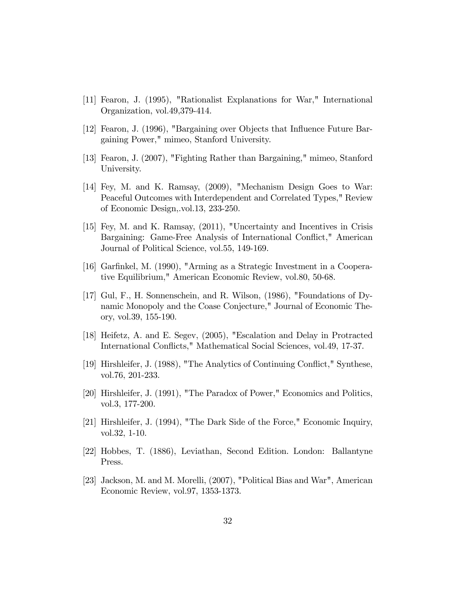- [11] Fearon, J. (1995), "Rationalist Explanations for War," International Organization, vol.49,379-414.
- [12] Fearon, J. (1996), "Bargaining over Objects that Ináuence Future Bargaining Power," mimeo, Stanford University.
- [13] Fearon, J. (2007), "Fighting Rather than Bargaining," mimeo, Stanford University.
- [14] Fey, M. and K. Ramsay, (2009), "Mechanism Design Goes to War: Peaceful Outcomes with Interdependent and Correlated Types," Review of Economic Design,.vol.13, 233-250.
- [15] Fey, M. and K. Ramsay, (2011), "Uncertainty and Incentives in Crisis Bargaining: Game-Free Analysis of International Conflict," American Journal of Political Science, vol.55, 149-169.
- [16] Garfinkel, M. (1990), "Arming as a Strategic Investment in a Cooperative Equilibrium," American Economic Review, vol.80, 50-68.
- [17] Gul, F., H. Sonnenschein, and R. Wilson, (1986), "Foundations of Dynamic Monopoly and the Coase Conjecture," Journal of Economic Theory, vol.39, 155-190.
- [18] Heifetz, A. and E. Segev, (2005), "Escalation and Delay in Protracted International Conflicts," Mathematical Social Sciences, vol.49, 17-37.
- [19] Hirshleifer, J. (1988), "The Analytics of Continuing Conflict," Synthese, vol.76, 201-233.
- [20] Hirshleifer, J. (1991), "The Paradox of Power," Economics and Politics, vol.3, 177-200.
- [21] Hirshleifer, J. (1994), "The Dark Side of the Force," Economic Inquiry, vol.32, 1-10.
- [22] Hobbes, T. (1886), Leviathan, Second Edition. London: Ballantyne Press.
- [23] Jackson, M. and M. Morelli, (2007), "Political Bias and War", American Economic Review, vol.97, 1353-1373.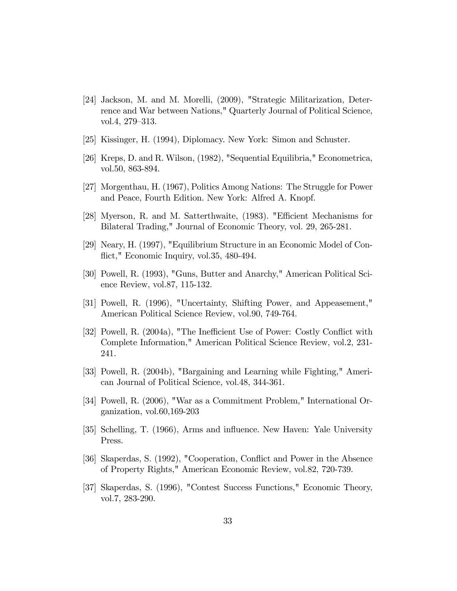- [24] Jackson, M. and M. Morelli, (2009), "Strategic Militarization, Deterrence and War between Nations," Quarterly Journal of Political Science, vol.4,  $279-313$ .
- [25] Kissinger, H. (1994), Diplomacy. New York: Simon and Schuster.
- [26] Kreps, D. and R. Wilson, (1982), "Sequential Equilibria," Econometrica, vol.50, 863-894.
- [27] Morgenthau, H. (1967), Politics Among Nations: The Struggle for Power and Peace, Fourth Edition. New York: Alfred A. Knopf.
- [28] Myerson, R. and M. Satterthwaite, (1983). "Efficient Mechanisms for Bilateral Trading," Journal of Economic Theory, vol. 29, 265-281.
- [29] Neary, H. (1997), "Equilibrium Structure in an Economic Model of Conflict," Economic Inquiry, vol.35, 480-494.
- [30] Powell, R. (1993), "Guns, Butter and Anarchy," American Political Science Review, vol.87, 115-132.
- [31] Powell, R. (1996), "Uncertainty, Shifting Power, and Appeasement," American Political Science Review, vol.90, 749-764.
- [32] Powell, R. (2004a), "The Inefficient Use of Power: Costly Conflict with Complete Information," American Political Science Review, vol.2, 231- 241.
- [33] Powell, R. (2004b), "Bargaining and Learning while Fighting," American Journal of Political Science, vol.48, 344-361.
- [34] Powell, R. (2006), "War as a Commitment Problem," International Organization, vol.60,169-203
- [35] Schelling, T. (1966), Arms and influence. New Haven: Yale University Press.
- [36] Skaperdas, S. (1992), "Cooperation, Conáict and Power in the Absence of Property Rights," American Economic Review, vol.82, 720-739.
- [37] Skaperdas, S. (1996), "Contest Success Functions," Economic Theory, vol.7, 283-290.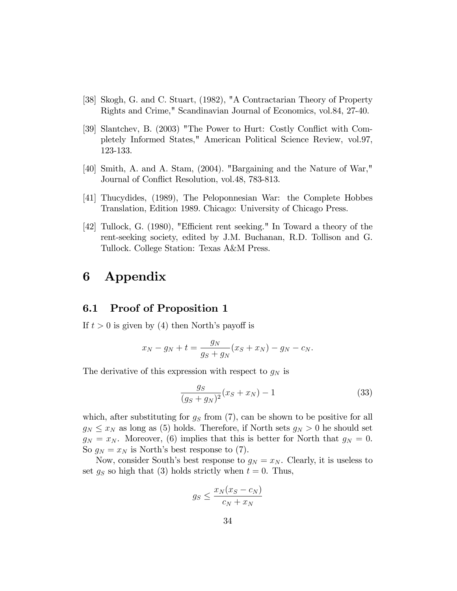- [38] Skogh, G. and C. Stuart, (1982), "A Contractarian Theory of Property Rights and Crime," Scandinavian Journal of Economics, vol.84, 27-40.
- [39] Slantchev, B. (2003) "The Power to Hurt: Costly Conflict with Completely Informed States," American Political Science Review, vol.97, 123-133.
- [40] Smith, A. and A. Stam, (2004). "Bargaining and the Nature of War," Journal of Conflict Resolution, vol.48, 783-813.
- [41] Thucydides, (1989), The Peloponnesian War: the Complete Hobbes Translation, Edition 1989. Chicago: University of Chicago Press.
- [42] Tullock, G. (1980), "Efficient rent seeking." In Toward a theory of the rent-seeking society, edited by J.M. Buchanan, R.D. Tollison and G. Tullock. College Station: Texas A&M Press.

### 6 Appendix

#### 6.1 Proof of Proposition 1

If  $t > 0$  is given by (4) then North's payoff is

$$
x_N - g_N + t = \frac{g_N}{g_S + g_N}(x_S + x_N) - g_N - c_N.
$$

The derivative of this expression with respect to  $g_N$  is

$$
\frac{g_S}{(g_S + g_N)^2} (x_S + x_N) - 1 \tag{33}
$$

which, after substituting for  $g_S$  from (7), can be shown to be positive for all  $g_N \leq x_N$  as long as (5) holds. Therefore, if North sets  $g_N > 0$  he should set  $g_N = x_N$ . Moreover, (6) implies that this is better for North that  $g_N = 0$ . So  $g_N = x_N$  is North's best response to (7).

Now, consider South's best response to  $g_N = x_N$ . Clearly, it is useless to set  $g_S$  so high that (3) holds strictly when  $t = 0$ . Thus,

$$
g_S \le \frac{x_N(x_S - c_N)}{c_N + x_N}
$$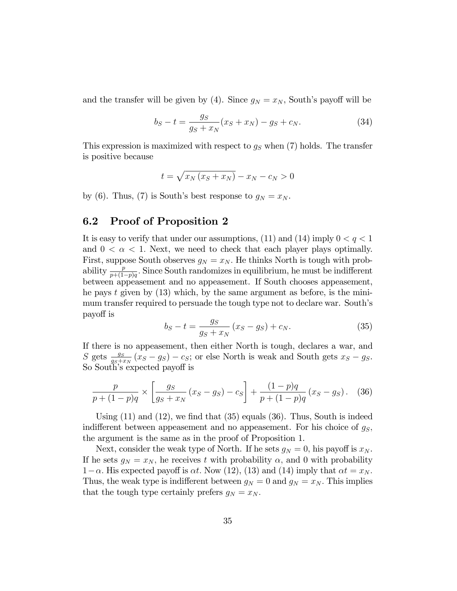and the transfer will be given by (4). Since  $g_N = x_N$ , South's payoff will be

$$
b_S - t = \frac{g_S}{g_S + x_N}(x_S + x_N) - g_S + c_N.
$$
 (34)

This expression is maximized with respect to  $g<sub>S</sub>$  when (7) holds. The transfer is positive because

$$
t = \sqrt{x_N(x_S + x_N)} - x_N - c_N > 0
$$

by (6). Thus, (7) is South's best response to  $g_N = x_N$ .

### 6.2 Proof of Proposition 2

It is easy to verify that under our assumptions, (11) and (14) imply  $0 < q < 1$ and  $0 < \alpha < 1$ . Next, we need to check that each player plays optimally. First, suppose South observes  $g_N = x_N$ . He thinks North is tough with probability  $\frac{p}{p+(1-p)q}$ . Since South randomizes in equilibrium, he must be indifferent between appeasement and no appeasement. If South chooses appeasement, he pays t given by  $(13)$  which, by the same argument as before, is the minimum transfer required to persuade the tough type not to declare war. South's payo§ is

$$
b_S - t = \frac{g_S}{g_S + x_N} (x_S - g_S) + c_N.
$$
 (35)

If there is no appeasement, then either North is tough, declares a war, and  $S$  gets  $\frac{gs}{gs+x_N}(x_S-g_S) - c_S$ ; or else North is weak and South gets  $x_S-g_S$ . So South's expected payoff is

$$
\frac{p}{p + (1 - p)q} \times \left[ \frac{gs}{gs + x_N} (x_S - g_S) - c_S \right] + \frac{(1 - p)q}{p + (1 - p)q} (x_S - g_S). \tag{36}
$$

Using  $(11)$  and  $(12)$ , we find that  $(35)$  equals  $(36)$ . Thus, South is indeed indifferent between appeasement and no appeasement. For his choice of  $g_S$ , the argument is the same as in the proof of Proposition 1.

Next, consider the weak type of North. If he sets  $g_N = 0$ , his payoff is  $x_N$ . If he sets  $g_N = x_N$ , he receives t with probability  $\alpha$ , and 0 with probability  $1-\alpha$ . His expected payoff is  $\alpha t$ . Now (12), (13) and (14) imply that  $\alpha t = x_N$ . Thus, the weak type is indifferent between  $g_N = 0$  and  $g_N = x_N$ . This implies that the tough type certainly prefers  $g_N = x_N$ .